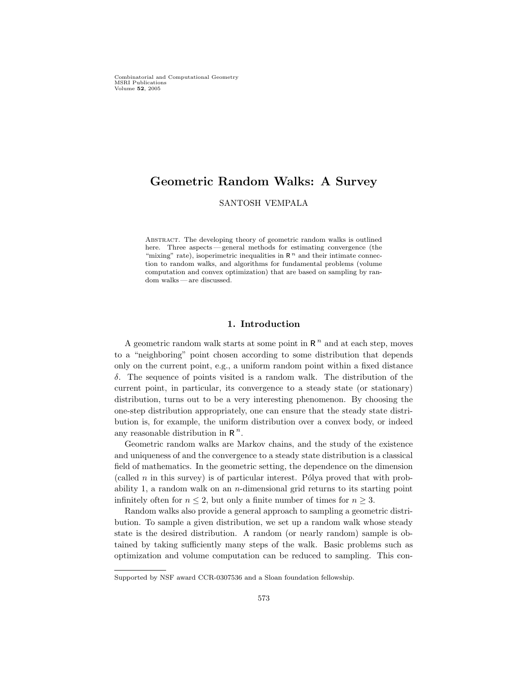Combinatorial and Computational Geometry MSRI Publications Volume 52, 2005

# Geometric Random Walks: A Survey

SANTOSH VEMPALA

Abstract. The developing theory of geometric random walks is outlined here. Three aspects — general methods for estimating convergence (the "mixing" rate), isoperimetric inequalities in  $R<sup>n</sup>$  and their intimate connection to random walks, and algorithms for fundamental problems (volume computation and convex optimization) that are based on sampling by random walks — are discussed.

# 1. Introduction

A geometric random walk starts at some point in  $R<sup>n</sup>$  and at each step, moves to a "neighboring" point chosen according to some distribution that depends only on the current point, e.g., a uniform random point within a fixed distance δ. The sequence of points visited is a random walk. The distribution of the current point, in particular, its convergence to a steady state (or stationary) distribution, turns out to be a very interesting phenomenon. By choosing the one-step distribution appropriately, one can ensure that the steady state distribution is, for example, the uniform distribution over a convex body, or indeed any reasonable distribution in  $\mathbb{R}^n$ .

Geometric random walks are Markov chains, and the study of the existence and uniqueness of and the convergence to a steady state distribution is a classical field of mathematics. In the geometric setting, the dependence on the dimension (called  $n$  in this survey) is of particular interest. Pólya proved that with probability 1, a random walk on an  $n$ -dimensional grid returns to its starting point infinitely often for  $n \leq 2$ , but only a finite number of times for  $n \geq 3$ .

Random walks also provide a general approach to sampling a geometric distribution. To sample a given distribution, we set up a random walk whose steady state is the desired distribution. A random (or nearly random) sample is obtained by taking sufficiently many steps of the walk. Basic problems such as optimization and volume computation can be reduced to sampling. This con-

Supported by NSF award CCR-0307536 and a Sloan foundation fellowship.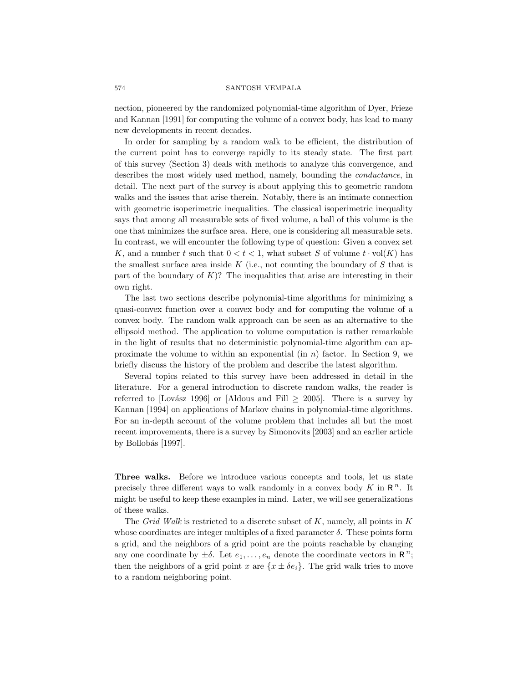nection, pioneered by the randomized polynomial-time algorithm of Dyer, Frieze and Kannan [1991] for computing the volume of a convex body, has lead to many new developments in recent decades.

In order for sampling by a random walk to be efficient, the distribution of the current point has to converge rapidly to its steady state. The first part of this survey (Section 3) deals with methods to analyze this convergence, and describes the most widely used method, namely, bounding the conductance, in detail. The next part of the survey is about applying this to geometric random walks and the issues that arise therein. Notably, there is an intimate connection with geometric isoperimetric inequalities. The classical isoperimetric inequality says that among all measurable sets of fixed volume, a ball of this volume is the one that minimizes the surface area. Here, one is considering all measurable sets. In contrast, we will encounter the following type of question: Given a convex set K, and a number t such that  $0 < t < 1$ , what subset S of volume  $t \cdot \text{vol}(K)$  has the smallest surface area inside  $K$  (i.e., not counting the boundary of  $S$  that is part of the boundary of  $K$ ? The inequalities that arise are interesting in their own right.

The last two sections describe polynomial-time algorithms for minimizing a quasi-convex function over a convex body and for computing the volume of a convex body. The random walk approach can be seen as an alternative to the ellipsoid method. The application to volume computation is rather remarkable in the light of results that no deterministic polynomial-time algorithm can approximate the volume to within an exponential (in  $n$ ) factor. In Section 9, we briefly discuss the history of the problem and describe the latest algorithm.

Several topics related to this survey have been addressed in detail in the literature. For a general introduction to discrete random walks, the reader is referred to [Lovász 1996] or [Aldous and Fill  $\geq 2005$ ]. There is a survey by Kannan [1994] on applications of Markov chains in polynomial-time algorithms. For an in-depth account of the volume problem that includes all but the most recent improvements, there is a survey by Simonovits [2003] and an earlier article by Bollobás [1997].

Three walks. Before we introduce various concepts and tools, let us state precisely three different ways to walk randomly in a convex body  $K$  in  $\mathbb{R}^n$ . It might be useful to keep these examples in mind. Later, we will see generalizations of these walks.

The Grid Walk is restricted to a discrete subset of  $K$ , namely, all points in  $K$ whose coordinates are integer multiples of a fixed parameter  $\delta$ . These points form a grid, and the neighbors of a grid point are the points reachable by changing any one coordinate by  $\pm \delta$ . Let  $e_1, \ldots, e_n$  denote the coordinate vectors in  $\mathbb{R}^n$ ; then the neighbors of a grid point x are  $\{x \pm \delta e_i\}$ . The grid walk tries to move to a random neighboring point.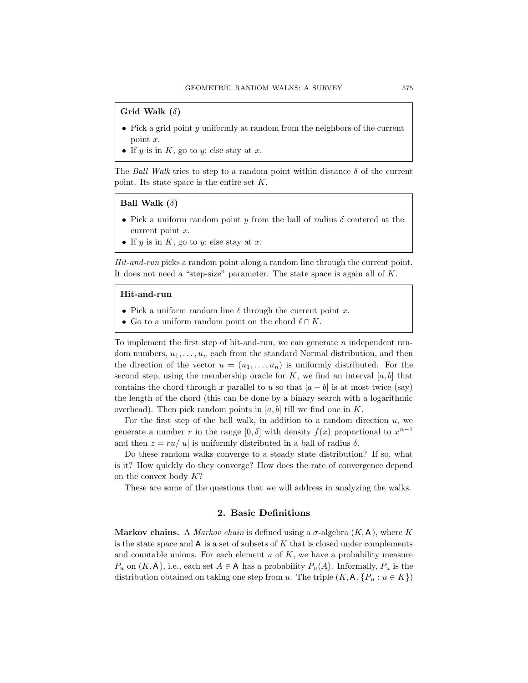# Grid Walk  $(\delta)$

- Pick a grid point y uniformly at random from the neighbors of the current point x.
- If y is in  $K$ , go to y; else stay at x.

The Ball Walk tries to step to a random point within distance  $\delta$  of the current point. Its state space is the entire set  $K$ .

### Ball Walk  $(\delta)$

- Pick a uniform random point y from the ball of radius  $\delta$  centered at the current point x.
- If  $y$  is in  $K$ , go to  $y$ ; else stay at  $x$ .

Hit-and-run picks a random point along a random line through the current point. It does not need a "step-size" parameter. The state space is again all of  $K$ .

### Hit-and-run

- Pick a uniform random line  $\ell$  through the current point x.
- Go to a uniform random point on the chord  $\ell \cap K$ .

To implement the first step of hit-and-run, we can generate  $n$  independent random numbers,  $u_1, \ldots, u_n$  each from the standard Normal distribution, and then the direction of the vector  $u = (u_1, \ldots, u_n)$  is uniformly distributed. For the second step, using the membership oracle for  $K$ , we find an interval  $[a, b]$  that contains the chord through x parallel to u so that  $|a - b|$  is at most twice (say) the length of the chord (this can be done by a binary search with a logarithmic overhead). Then pick random points in [a, b] till we find one in K.

For the first step of the ball walk, in addition to a random direction  $u$ , we generate a number r in the range  $[0, \delta]$  with density  $f(x)$  proportional to  $x^{n-1}$ and then  $z = ru/|u|$  is uniformly distributed in a ball of radius  $\delta$ .

Do these random walks converge to a steady state distribution? If so, what is it? How quickly do they converge? How does the rate of convergence depend on the convex body  $K?$ 

These are some of the questions that we will address in analyzing the walks.

### 2. Basic Definitions

**Markov chains.** A *Markov chain* is defined using a  $\sigma$ -algebra  $(K, A)$ , where K is the state space and A is a set of subsets of K that is closed under complements and countable unions. For each element  $u$  of  $K$ , we have a probability measure  $P_u$  on  $(K, A)$ , i.e., each set  $A \in A$  has a probability  $P_u(A)$ . Informally,  $P_u$  is the distribution obtained on taking one step from u. The triple  $(K, A, \{P_u : u \in K\})$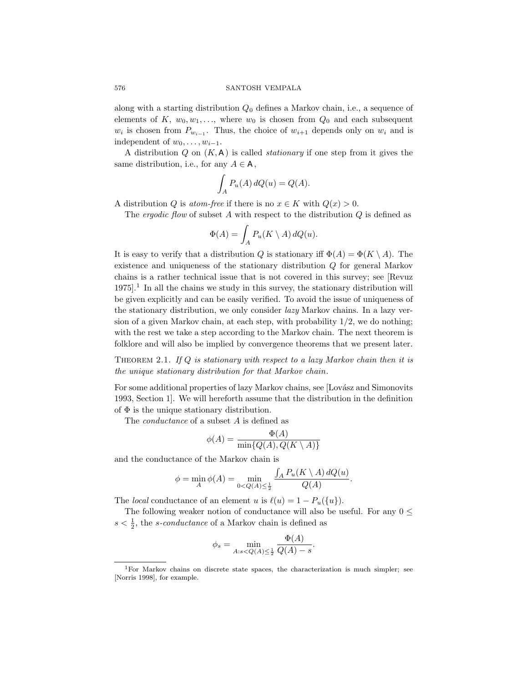along with a starting distribution  $Q_0$  defines a Markov chain, i.e., a sequence of elements of K,  $w_0, w_1, \ldots$ , where  $w_0$  is chosen from  $Q_0$  and each subsequent  $w_i$  is chosen from  $P_{w_{i-1}}$ . Thus, the choice of  $w_{i+1}$  depends only on  $w_i$  and is independent of  $w_0, \ldots, w_{i-1}$ .

A distribution  $Q$  on  $(K, A)$  is called *stationary* if one step from it gives the same distribution, i.e., for any  $A \in A$ ,

$$
\int_A P_u(A) dQ(u) = Q(A).
$$

A distribution Q is atom-free if there is no  $x \in K$  with  $Q(x) > 0$ .

The *ergodic flow* of subset A with respect to the distribution  $Q$  is defined as

$$
\Phi(A) = \int_A P_u(K \setminus A) dQ(u).
$$

It is easy to verify that a distribution Q is stationary iff  $\Phi(A) = \Phi(K \setminus A)$ . The existence and uniqueness of the stationary distribution Q for general Markov chains is a rather technical issue that is not covered in this survey; see [Revuz  $1975$ <sup>1</sup>. In all the chains we study in this survey, the stationary distribution will be given explicitly and can be easily verified. To avoid the issue of uniqueness of the stationary distribution, we only consider lazy Markov chains. In a lazy version of a given Markov chain, at each step, with probability  $1/2$ , we do nothing; with the rest we take a step according to the Markov chain. The next theorem is folklore and will also be implied by convergence theorems that we present later.

THEOREM 2.1. If  $Q$  is stationary with respect to a lazy Markov chain then it is the unique stationary distribution for that Markov chain.

For some additional properties of lazy Markov chains, see [Lovász and Simonovits 1993, Section 1]. We will hereforth assume that the distribution in the definition of  $\Phi$  is the unique stationary distribution.

The *conductance* of a subset A is defined as

$$
\phi(A) = \frac{\Phi(A)}{\min\{Q(A), Q(K \setminus A)\}}
$$

and the conductance of the Markov chain is

$$
\phi = \min_{A} \phi(A) = \min_{0 < Q(A) \le \frac{1}{2}} \frac{\int_{A} P_u(K \setminus A) \, dQ(u)}{Q(A)}.
$$

The *local* conductance of an element u is  $\ell(u) = 1 - P_u({u}).$ 

The following weaker notion of conductance will also be useful. For any  $0 \leq$  $s < \frac{1}{2}$ , the *s*-conductance of a Markov chain is defined as

$$
\phi_s = \min_{A: s < Q(A) \le \frac{1}{2}} \frac{\Phi(A)}{Q(A) - s}.
$$

<sup>&</sup>lt;sup>1</sup>For Markov chains on discrete state spaces, the characterization is much simpler; see [Norris 1998], for example.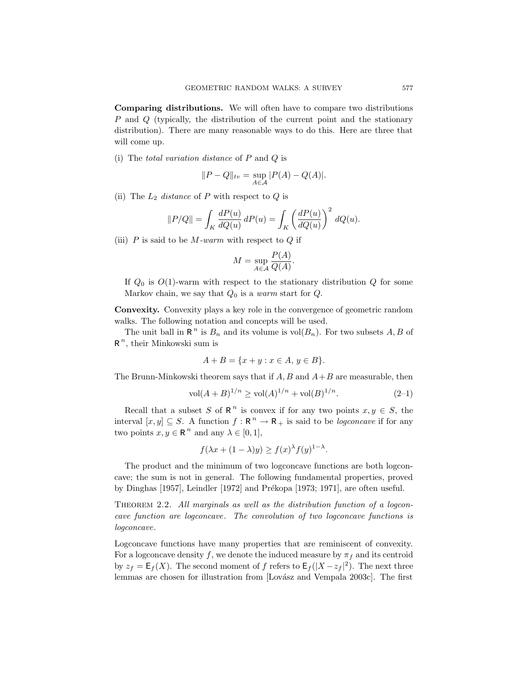Comparing distributions. We will often have to compare two distributions P and Q (typically, the distribution of the current point and the stationary distribution). There are many reasonable ways to do this. Here are three that will come up.

(i) The *total variation distance* of  $P$  and  $Q$  is

$$
||P - Q||_{tv} = \sup_{A \in \mathcal{A}} |P(A) - Q(A)|.
$$

(ii) The  $L_2$  distance of P with respect to Q is

$$
||P/Q|| = \int_K \frac{dP(u)}{dQ(u)} dP(u) = \int_K \left(\frac{dP(u)}{dQ(u)}\right)^2 dQ(u).
$$

(iii)  $P$  is said to be  $M$ -warm with respect to  $Q$  if

$$
M = \sup_{A \in \mathcal{A}} \frac{P(A)}{Q(A)}.
$$

If  $Q_0$  is  $O(1)$ -warm with respect to the stationary distribution  $Q$  for some Markov chain, we say that  $Q_0$  is a warm start for  $Q$ .

Convexity. Convexity plays a key role in the convergence of geometric random walks. The following notation and concepts will be used.

The unit ball in  $\mathbb{R}^n$  is  $B_n$  and its volume is  $\text{vol}(B_n)$ . For two subsets  $A, B$  of  $R^n$ , their Minkowski sum is

$$
A + B = \{x + y : x \in A, y \in B\}.
$$

The Brunn-Minkowski theorem says that if  $A, B$  and  $A+B$  are measurable, then

$$
\text{vol}(A+B)^{1/n} \ge \text{vol}(A)^{1/n} + \text{vol}(B)^{1/n}.\tag{2-1}
$$

Recall that a subset S of R<sup>n</sup> is convex if for any two points  $x, y \in S$ , the interval  $[x, y] \subseteq S$ . A function  $f : \mathbb{R}^n \to \mathbb{R}_+$  is said to be *logconcave* if for any two points  $x, y \in \mathbb{R}^n$  and any  $\lambda \in [0, 1],$ 

$$
f(\lambda x + (1 - \lambda)y) \ge f(x)^{\lambda} f(y)^{1 - \lambda}.
$$

The product and the minimum of two logconcave functions are both logconcave; the sum is not in general. The following fundamental properties, proved by Dinghas [1957], Leindler [1972] and Prékopa [1973; 1971], are often useful.

THEOREM 2.2. All marginals as well as the distribution function of a logconcave function are logconcave. The convolution of two logconcave functions is logconcave.

Logconcave functions have many properties that are reminiscent of convexity. For a logconcave density f, we denote the induced measure by  $\pi_f$  and its centroid by  $z_f = \mathsf{E}_f(X)$ . The second moment of f refers to  $\mathsf{E}_f(|X - z_f|^2)$ . The next three lemmas are chosen for illustration from [Lovász and Vempala 2003c]. The first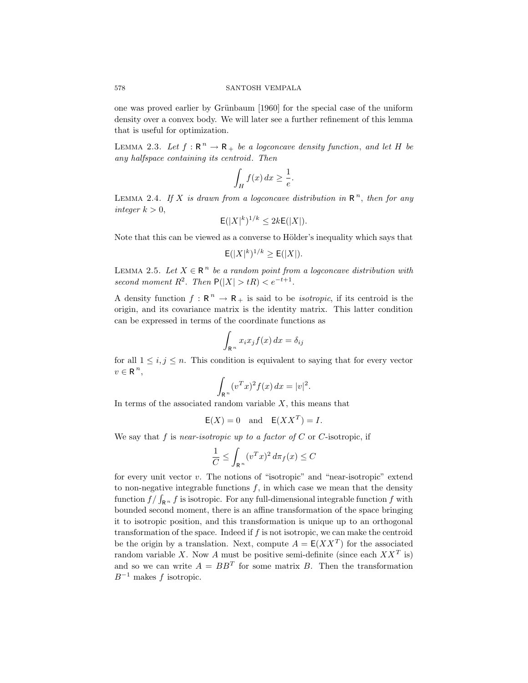one was proved earlier by Grünbaum [1960] for the special case of the uniform density over a convex body. We will later see a further refinement of this lemma that is useful for optimization.

LEMMA 2.3. Let  $f: \mathbb{R}^n \to \mathbb{R}_+$  be a logconcave density function, and let H be any halfspace containing its centroid. Then

$$
\int_H f(x) \, dx \ge \frac{1}{e}.
$$

LEMMA 2.4. If X is drawn from a logconcave distribution in  $\mathbb{R}^n$ , then for any integer  $k > 0$ ,

$$
\mathsf{E}(|X|^k)^{1/k} \le 2k\mathsf{E}(|X|).
$$

Note that this can be viewed as a converse to Hölder's inequality which says that

$$
\mathsf{E}(|X|^k)^{1/k} \ge \mathsf{E}(|X|).
$$

LEMMA 2.5. Let  $X \in \mathbb{R}^n$  be a random point from a logconcave distribution with second moment  $R^2$ . Then  $P(|X| > tR) < e^{-t+1}$ .

A density function  $f: \mathbb{R}^n \to \mathbb{R}_+$  is said to be *isotropic*, if its centroid is the origin, and its covariance matrix is the identity matrix. This latter condition can be expressed in terms of the coordinate functions as

$$
\int_{\mathbb{R}^n} x_i x_j f(x) \, dx = \delta_{ij}
$$

for all  $1 \leq i, j \leq n$ . This condition is equivalent to saying that for every vector  $v \in \mathbb{R}^n$ ,

$$
\int_{\mathbb{R}^n} (v^T x)^2 f(x) \, dx = |v|^2.
$$

In terms of the associated random variable  $X$ , this means that

$$
E(X) = 0 \quad \text{and} \quad E(XX^T) = I.
$$

We say that f is near-isotropic up to a factor of  $C$  or  $C$ -isotropic, if

$$
\frac{1}{C} \le \int_{\mathbb{R}^n} (v^T x)^2 d\pi_f(x) \le C
$$

for every unit vector v. The notions of "isotropic" and "near-isotropic" extend to non-negative integrable functions  $f$ , in which case we mean that the density function  $f/\int_{\mathbb{R}^n} f$  is isotropic. For any full-dimensional integrable function f with bounded second moment, there is an affine transformation of the space bringing it to isotropic position, and this transformation is unique up to an orthogonal transformation of the space. Indeed if  $f$  is not isotropic, we can make the centroid be the origin by a translation. Next, compute  $A = E(XX^T)$  for the associated random variable X. Now A must be positive semi-definite (since each  $XX<sup>T</sup>$  is) and so we can write  $A = BB^T$  for some matrix B. Then the transformation  $B^{-1}$  makes f isotropic.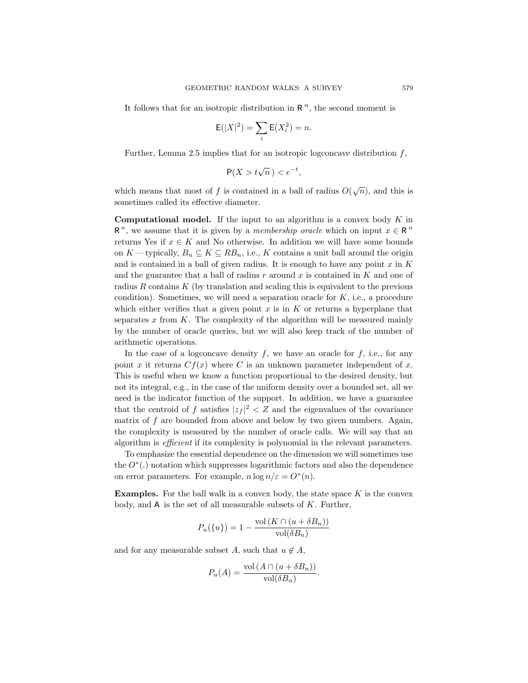It follows that for an isotropic distribution in  $\mathbb{R}^n$ , the second moment is

$$
\mathsf{E}(|X|^2) = \sum_i \mathsf{E}(X_i^2) = n.
$$

Further, Lemma 2.5 implies that for an isotropic logconcave distribution  $f$ ,

$$
\mathsf{P}(X > t\sqrt{n}) < e^{-t},
$$

which means that most of f is contained in a ball of radius  $O(\sqrt{n})$ , and this is sometimes called its effective diameter.

**Computational model.** If the input to an algorithm is a convex body  $K$  in  $R^n$ , we assume that it is given by a *membership oracle* which on input  $x \in R^n$ returns Yes if  $x \in K$  and No otherwise. In addition we will have some bounds on K—typically,  $B_n \subseteq K \subseteq RB_n$ , i.e., K contains a unit ball around the origin and is contained in a ball of given radius. It is enough to have any point  $x$  in  $K$ and the guarantee that a ball of radius r around x is contained in  $K$  and one of radius R contains K (by translation and scaling this is equivalent to the previous condition). Sometimes, we will need a separation oracle for  $K$ , i.e., a procedure which either verifies that a given point  $x$  is in  $K$  or returns a hyperplane that separates x from  $K$ . The complexity of the algorithm will be measured mainly by the number of oracle queries, but we will also keep track of the number of arithmetic operations.

In the case of a logconcave density  $f$ , we have an oracle for  $f$ , i.e., for any point x it returns  $Cf(x)$  where C is an unknown parameter independent of x. This is useful when we know a function proportional to the desired density, but not its integral, e.g., in the case of the uniform density over a bounded set, all we need is the indicator function of the support. In addition, we have a guarantee that the centroid of f satisfies  $|z_f|^2 < Z$  and the eigenvalues of the covariance matrix of  $f$  are bounded from above and below by two given numbers. Again, the complexity is measured by the number of oracle calls. We will say that an algorithm is efficient if its complexity is polynomial in the relevant parameters.

To emphasize the essential dependence on the dimension we will sometimes use the  $O^*(.)$  notation which suppresses logarithmic factors and also the dependence on error parameters. For example,  $n \log n / \varepsilon = O^*(n)$ .

**Examples.** For the ball walk in a convex body, the state space  $K$  is the convex body, and  $A$  is the set of all measurable subsets of  $K$ . Further,

$$
P_u({u}) = 1 - \frac{\text{vol}(K \cap (u + \delta B_n))}{\text{vol}(\delta B_n)}
$$

and for any measurable subset A, such that  $u \notin A$ ,

$$
P_u(A) = \frac{\text{vol}(A \cap (u + \delta B_n))}{\text{vol}(\delta B_n)}.
$$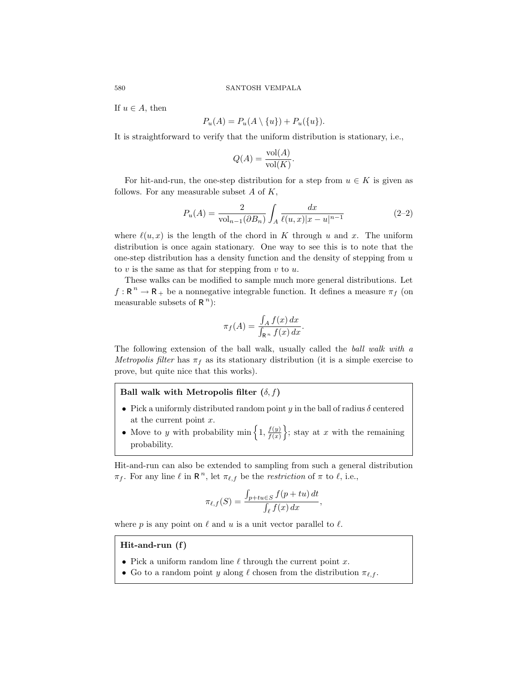If  $u \in A$ , then

$$
P_u(A) = P_u(A \setminus \{u\}) + P_u(\{u\}).
$$

It is straightforward to verify that the uniform distribution is stationary, i.e.,

$$
Q(A) = \frac{\text{vol}(A)}{\text{vol}(K)}.
$$

For hit-and-run, the one-step distribution for a step from  $u \in K$  is given as follows. For any measurable subset  $A$  of  $K$ ,

$$
P_u(A) = \frac{2}{\text{vol}_{n-1}(\partial B_n)} \int_A \frac{dx}{\ell(u,x)|x-u|^{n-1}} \tag{2-2}
$$

where  $\ell(u, x)$  is the length of the chord in K through u and x. The uniform distribution is once again stationary. One way to see this is to note that the one-step distribution has a density function and the density of stepping from  $u$ to  $v$  is the same as that for stepping from  $v$  to  $u$ .

These walks can be modified to sample much more general distributions. Let  $f:\mathop{\rm \mathbf{R}}\nolimits^n\rightarrow\mathop{\rm \mathbf{R}}\nolimits_+$  be a nonnegative integrable function. It defines a measure  $\pi_f$  (on measurable subsets of  $R^n$ ):

$$
\pi_f(A) = \frac{\int_A f(x) \, dx}{\int_{\mathbb{R}^n} f(x) \, dx}.
$$

The following extension of the ball walk, usually called the ball walk with a Metropolis filter has  $\pi_f$  as its stationary distribution (it is a simple exercise to prove, but quite nice that this works).

# Ball walk with Metropolis filter  $(\delta, f)$

- Pick a uniformly distributed random point y in the ball of radius  $\delta$  centered at the current point x.
- Move to y with probability min  $\left\{1, \frac{f(y)}{f(x)}\right\}$  $\left\{\frac{f(y)}{f(x)}\right\}$ ; stay at x with the remaining probability.

Hit-and-run can also be extended to sampling from such a general distribution  $\pi_f$ . For any line  $\ell$  in  $\mathbb{R}^n$ , let  $\pi_{\ell,f}$  be the *restriction* of  $\pi$  to  $\ell$ , i.e.,

$$
\pi_{\ell,f}(S) = \frac{\int_{p+tu \in S} f(p+tu) dt}{\int_{\ell} f(x) dx},
$$

where p is any point on  $\ell$  and u is a unit vector parallel to  $\ell$ .

# Hit-and-run (f)

- Pick a uniform random line  $\ell$  through the current point x.
- Go to a random point y along  $\ell$  chosen from the distribution  $\pi_{\ell,f}$ .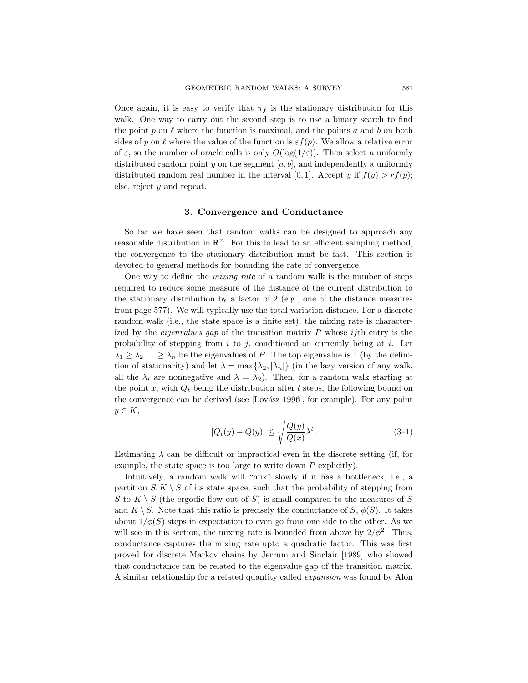Once again, it is easy to verify that  $\pi_f$  is the stationary distribution for this walk. One way to carry out the second step is to use a binary search to find the point  $p$  on  $\ell$  where the function is maximal, and the points a and b on both sides of p on  $\ell$  where the value of the function is  $\varepsilon f(p)$ . We allow a relative error of  $\varepsilon$ , so the number of oracle calls is only  $O(\log(1/\varepsilon))$ . Then select a uniformly distributed random point  $y$  on the segment  $[a, b]$ , and independently a uniformly distributed random real number in the interval [0, 1]. Accept y if  $f(y) > rf(p)$ ; else, reject y and repeat.

# 3. Convergence and Conductance

So far we have seen that random walks can be designed to approach any reasonable distribution in  $\mathbb{R}^n$ . For this to lead to an efficient sampling method, the convergence to the stationary distribution must be fast. This section is devoted to general methods for bounding the rate of convergence.

One way to define the mixing rate of a random walk is the number of steps required to reduce some measure of the distance of the current distribution to the stationary distribution by a factor of 2 (e.g., one of the distance measures from page 577). We will typically use the total variation distance. For a discrete random walk (i.e., the state space is a finite set), the mixing rate is characterized by the *eigenvalues gap* of the transition matrix  $P$  whose *ij*th entry is the probability of stepping from i to j, conditioned on currently being at i. Let  $\lambda_1 \geq \lambda_2 \ldots \geq \lambda_n$  be the eigenvalues of P. The top eigenvalue is 1 (by the definition of stationarity) and let  $\lambda = \max{\{\lambda_2, |\lambda_n|\}}$  (in the lazy version of any walk, all the  $\lambda_i$  are nonnegative and  $\lambda = \lambda_2$ ). Then, for a random walk starting at the point x, with  $Q_t$  being the distribution after t steps, the following bound on the convergence can be derived (see [Lovász 1996], for example). For any point  $y \in K$ ,

$$
|Q_t(y) - Q(y)| \le \sqrt{\frac{Q(y)}{Q(x)}} \lambda^t. \tag{3-1}
$$

Estimating  $\lambda$  can be difficult or impractical even in the discrete setting (if, for example, the state space is too large to write down  $P$  explicitly).

Intuitively, a random walk will "mix" slowly if it has a bottleneck, i.e., a partition  $S, K \setminus S$  of its state space, such that the probability of stepping from S to  $K \setminus S$  (the ergodic flow out of S) is small compared to the measures of S and  $K \setminus S$ . Note that this ratio is precisely the conductance of S,  $\phi(S)$ . It takes about  $1/\phi(S)$  steps in expectation to even go from one side to the other. As we will see in this section, the mixing rate is bounded from above by  $2/\phi^2$ . Thus, conductance captures the mixing rate upto a quadratic factor. This was first proved for discrete Markov chains by Jerrum and Sinclair [1989] who showed that conductance can be related to the eigenvalue gap of the transition matrix. A similar relationship for a related quantity called expansion was found by Alon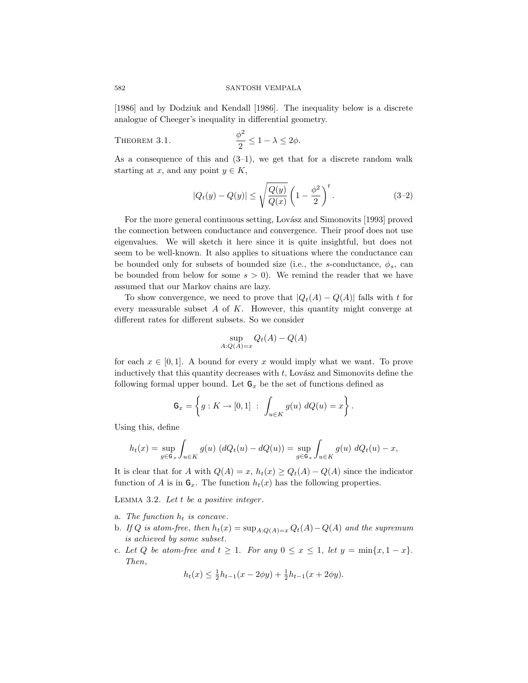[1986] and by Dodziuk and Kendall [1986]. The inequality below is a discrete analogue of Cheeger's inequality in differential geometry.

THEOREM 3.1. 
$$
\frac{\phi^2}{2} \leq 1 - \lambda \leq 2\phi.
$$

As a consequence of this and  $(3-1)$ , we get that for a discrete random walk starting at x, and any point  $y \in K$ ,

$$
|Q_t(y) - Q(y)| \le \sqrt{\frac{Q(y)}{Q(x)}} \left(1 - \frac{\phi^2}{2}\right)^t.
$$
 (3-2)

For the more general continuous setting, Lovász and Simonovits [1993] proved the connection between conductance and convergence. Their proof does not use eigenvalues. We will sketch it here since it is quite insightful, but does not seem to be well-known. It also applies to situations where the conductance can be bounded only for subsets of bounded size (i.e., the s-conductance,  $\phi_s$ , can be bounded from below for some  $s > 0$ . We remind the reader that we have assumed that our Markov chains are lazy.

To show convergence, we need to prove that  $|Q_t(A) - Q(A)|$  falls with t for every measurable subset  $A$  of  $K$ . However, this quantity might converge at different rates for different subsets. So we consider

$$
\sup_{A:Q(A)=x} Q_t(A) - Q(A)
$$

for each  $x \in [0, 1]$ . A bound for every x would imply what we want. To prove inductively that this quantity decreases with  $t$ , Lovász and Simonovits define the following formal upper bound. Let  $G_x$  be the set of functions defined as

$$
G_x = \left\{ g : K \to [0,1] : \int_{u \in K} g(u) \ dQ(u) = x \right\}.
$$

Using this, define

$$
h_t(x) = \sup_{g \in \mathbb{G}_x} \int_{u \in K} g(u) \left( dQ_t(u) - dQ(u) \right) = \sup_{g \in \mathbb{G}_x} \int_{u \in K} g(u) \, dQ_t(u) - x,
$$

It is clear that for A with  $Q(A) = x$ ,  $h_t(x) \ge Q_t(A) - Q(A)$  since the indicator function of A is in  $G_x$ . The function  $h_t(x)$  has the following properties.

LEMMA 3.2. Let  $t$  be a positive integer.

- a. The function  $h_t$  is concave.
- b. If Q is atom-free, then  $h_t(x) = \sup_{A: Q(A)=x} Q_t(A) Q(A)$  and the supremum is achieved by some subset.
- c. Let Q be atom-free and  $t \geq 1$ . For any  $0 \leq x \leq 1$ , let  $y = \min\{x, 1 x\}$ . Then,

$$
h_t(x) \le \frac{1}{2}h_{t-1}(x - 2\phi y) + \frac{1}{2}h_{t-1}(x + 2\phi y).
$$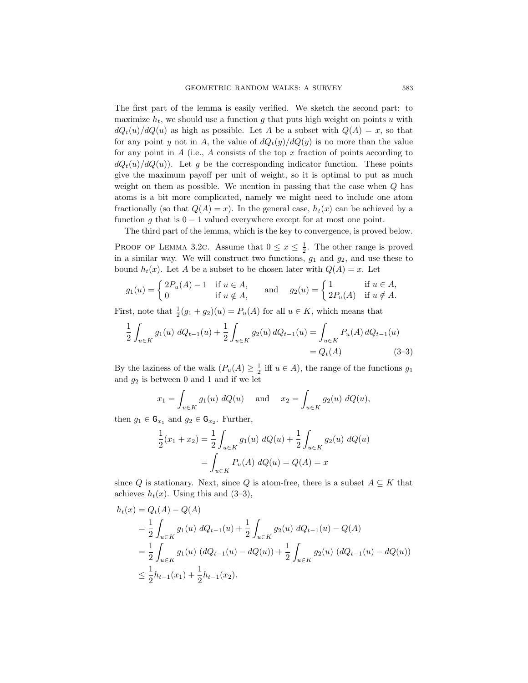The first part of the lemma is easily verified. We sketch the second part: to maximize  $h_t$ , we should use a function g that puts high weight on points u with  $dQ_t(u)/dQ(u)$  as high as possible. Let A be a subset with  $Q(A) = x$ , so that for any point y not in A, the value of  $dQ_t(y)/dQ(y)$  is no more than the value for any point in  $A$  (i.e.,  $A$  consists of the top  $x$  fraction of points according to  $dQ_t(u)/dQ(u)$ . Let g be the corresponding indicator function. These points give the maximum payoff per unit of weight, so it is optimal to put as much weight on them as possible. We mention in passing that the case when Q has atoms is a bit more complicated, namely we might need to include one atom fractionally (so that  $Q(A) = x$ ). In the general case,  $h_t(x)$  can be achieved by a function q that is  $0 - 1$  valued everywhere except for at most one point.

The third part of the lemma, which is the key to convergence, is proved below.

PROOF OF LEMMA 3.2C. Assume that  $0 \le x \le \frac{1}{2}$ . The other range is proved in a similar way. We will construct two functions,  $g_1$  and  $g_2$ , and use these to bound  $h_t(x)$ . Let A be a subset to be chosen later with  $Q(A) = x$ . Let

$$
g_1(u) = \begin{cases} 2P_u(A) - 1 & \text{if } u \in A, \\ 0 & \text{if } u \notin A, \end{cases} \quad \text{and} \quad g_2(u) = \begin{cases} 1 & \text{if } u \in A, \\ 2P_u(A) & \text{if } u \notin A. \end{cases}
$$

First, note that  $\frac{1}{2}(g_1+g_2)(u) = P_u(A)$  for all  $u \in K$ , which means that

$$
\frac{1}{2} \int_{u \in K} g_1(u) \, dQ_{t-1}(u) + \frac{1}{2} \int_{u \in K} g_2(u) \, dQ_{t-1}(u) = \int_{u \in K} P_u(A) \, dQ_{t-1}(u) = Q_t(A) \tag{3-3}
$$

By the laziness of the walk  $(P_u(A) \geq \frac{1}{2}$  iff  $u \in A$ ), the range of the functions  $g_1$ and  $g_2$  is between 0 and 1 and if we let

$$
x_1 = \int_{u \in K} g_1(u) \, dQ(u)
$$
 and  $x_2 = \int_{u \in K} g_2(u) \, dQ(u)$ ,

then  $g_1 \in \mathsf{G}_{x_1}$  and  $g_2 \in \mathsf{G}_{x_2}$ . Further,

$$
\frac{1}{2}(x_1 + x_2) = \frac{1}{2} \int_{u \in K} g_1(u) \ dQ(u) + \frac{1}{2} \int_{u \in K} g_2(u) \ dQ(u)
$$

$$
= \int_{u \in K} P_u(A) \ dQ(u) = Q(A) = x
$$

since Q is stationary. Next, since Q is atom-free, there is a subset  $A \subseteq K$  that achieves  $h_t(x)$ . Using this and  $(3-3)$ ,

$$
h_t(x) = Q_t(A) - Q(A)
$$
  
=  $\frac{1}{2} \int_{u \in K} g_1(u) dQ_{t-1}(u) + \frac{1}{2} \int_{u \in K} g_2(u) dQ_{t-1}(u) - Q(A)$   
=  $\frac{1}{2} \int_{u \in K} g_1(u) (dQ_{t-1}(u) - dQ(u)) + \frac{1}{2} \int_{u \in K} g_2(u) (dQ_{t-1}(u) - dQ(u))$   
 $\leq \frac{1}{2} h_{t-1}(x_1) + \frac{1}{2} h_{t-1}(x_2).$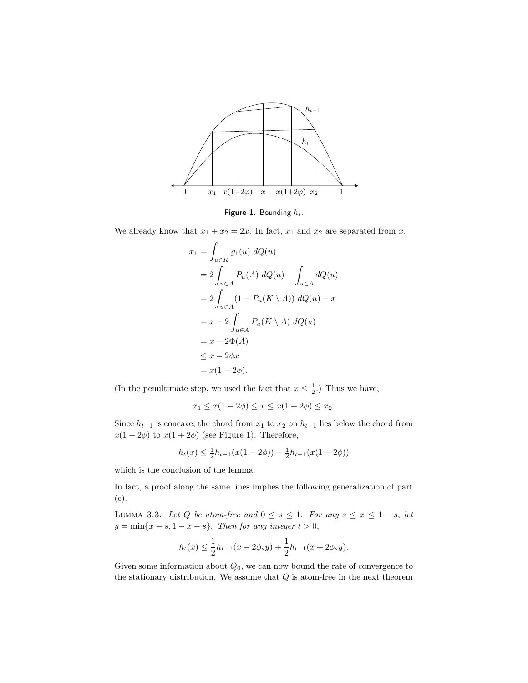

Figure 1. Bounding  $h_t$ .

We already know that  $x_1 + x_2 = 2x$ . In fact,  $x_1$  and  $x_2$  are separated from x.

$$
x_1 = \int_{u \in K} g_1(u) dQ(u)
$$
  
=  $2 \int_{u \in A} P_u(A) dQ(u) - \int_{u \in A} dQ(u)$   
=  $2 \int_{u \in A} (1 - P_u(K \setminus A)) dQ(u) - x$   
=  $x - 2 \int_{u \in A} P_u(K \setminus A) dQ(u)$   
=  $x - 2\Phi(A)$   
 $\leq x - 2\phi x$   
=  $x(1 - 2\phi).$ 

(In the penultimate step, we used the fact that  $x \leq \frac{1}{2}$ .) Thus we have,

$$
x_1 \le x(1 - 2\phi) \le x \le x(1 + 2\phi) \le x_2.
$$

Since  $h_{t-1}$  is concave, the chord from  $x_1$  to  $x_2$  on  $h_{t-1}$  lies below the chord from  $x(1-2\phi)$  to  $x(1+2\phi)$  (see Figure 1). Therefore,

$$
h_t(x) \le \frac{1}{2}h_{t-1}(x(1-2\phi)) + \frac{1}{2}h_{t-1}(x(1+2\phi))
$$

which is the conclusion of the lemma.

In fact, a proof along the same lines implies the following generalization of part (c).

LEMMA 3.3. Let Q be atom-free and  $0 \leq s \leq 1$ . For any  $s \leq x \leq 1-s$ , let  $y = \min\{x - s, 1 - x - s\}$ . Then for any integer  $t > 0$ ,

$$
h_t(x) \le \frac{1}{2}h_{t-1}(x - 2\phi_s y) + \frac{1}{2}h_{t-1}(x + 2\phi_s y).
$$

Given some information about  $Q_0$ , we can now bound the rate of convergence to the stationary distribution. We assume that  $Q$  is atom-free in the next theorem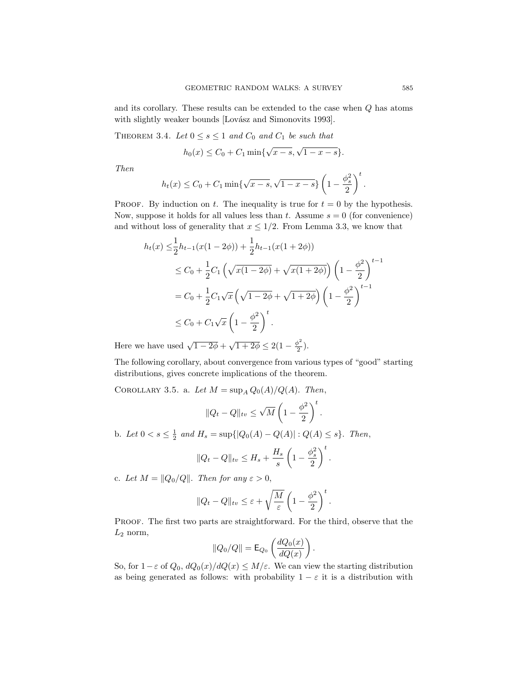and its corollary. These results can be extended to the case when Q has atoms with slightly weaker bounds [Lovász and Simonovits 1993].

THEOREM 3.4. Let  $0 \leq s \leq 1$  and  $C_0$  and  $C_1$  be such that

$$
h_0(x) \le C_0 + C_1 \min\{\sqrt{x-s}, \sqrt{1-x-s}\}.
$$

Then

$$
h_t(x) \leq C_0 + C_1 \min\{\sqrt{x-s}, \sqrt{1-x-s}\}\left(1-\frac{\phi_s^2}{2}\right)^t.
$$

PROOF. By induction on t. The inequality is true for  $t = 0$  by the hypothesis. Now, suppose it holds for all values less than t. Assume  $s = 0$  (for convenience) and without loss of generality that  $x \leq 1/2$ . From Lemma 3.3, we know that

$$
h_t(x) \leq \frac{1}{2} h_{t-1}(x(1-2\phi)) + \frac{1}{2} h_{t-1}(x(1+2\phi))
$$
  
\n
$$
\leq C_0 + \frac{1}{2} C_1 \left( \sqrt{x(1-2\phi)} + \sqrt{x(1+2\phi)} \right) \left( 1 - \frac{\phi^2}{2} \right)^{t-1}
$$
  
\n
$$
= C_0 + \frac{1}{2} C_1 \sqrt{x} \left( \sqrt{1-2\phi} + \sqrt{1+2\phi} \right) \left( 1 - \frac{\phi^2}{2} \right)^{t-1}
$$
  
\n
$$
\leq C_0 + C_1 \sqrt{x} \left( 1 - \frac{\phi^2}{2} \right)^t.
$$

Here we have used  $\sqrt{1-2\phi} + \sqrt{1+2\phi} \leq 2(1-\frac{\phi^2}{2})$  $\frac{p}{2}$ ).

The following corollary, about convergence from various types of "good" starting distributions, gives concrete implications of the theorem.

COROLLARY 3.5. a. Let  $M = \sup_A Q_0(A)/Q(A)$ . Then,

$$
||Q_t - Q||_{tv} \le \sqrt{M} \left(1 - \frac{\phi^2}{2}\right)^t.
$$

b. Let  $0 < s \leq \frac{1}{2}$  and  $H_s = \sup\{|Q_0(A) - Q(A)| : Q(A) \leq s\}$ . Then,

$$
||Q_t - Q||_{tv} \le H_s + \frac{H_s}{s} \left(1 - \frac{\phi_s^2}{2}\right)^t.
$$

c. Let  $M = ||Q_0/Q||$ . Then for any  $\varepsilon > 0$ ,

$$
||Q_t - Q||_{tv} \le \varepsilon + \sqrt{\frac{M}{\varepsilon}} \left( 1 - \frac{\phi^2}{2} \right)^t.
$$

PROOF. The first two parts are straightforward. For the third, observe that the  $L_2$  norm,

$$
||Q_0/Q|| = \mathsf{E}_{Q_0}\left(\frac{dQ_0(x)}{dQ(x)}\right).
$$

So, for  $1-\varepsilon$  of  $Q_0$ ,  $dQ_0(x)/dQ(x) \leq M/\varepsilon$ . We can view the starting distribution as being generated as follows: with probability  $1 - \varepsilon$  it is a distribution with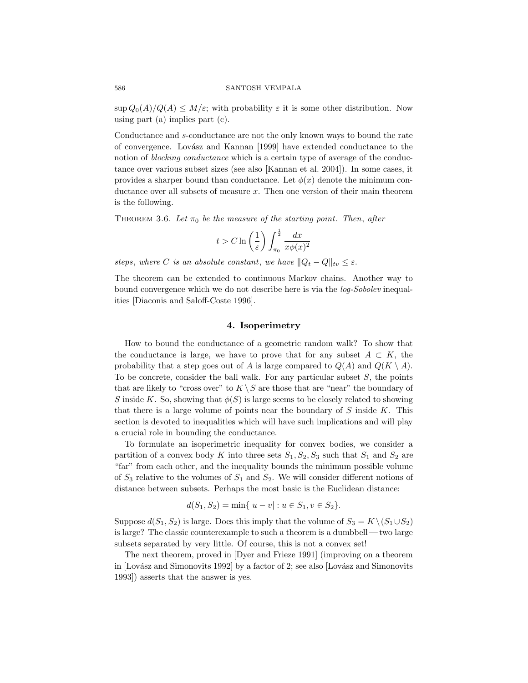$\sup Q_0(A)/Q(A) \leq M/\varepsilon$ ; with probability  $\varepsilon$  it is some other distribution. Now using part (a) implies part (c).

Conductance and s-conductance are not the only known ways to bound the rate of convergence. Lovász and Kannan [1999] have extended conductance to the notion of *blocking conductance* which is a certain type of average of the conductance over various subset sizes (see also [Kannan et al. 2004]). In some cases, it provides a sharper bound than conductance. Let  $\phi(x)$  denote the minimum conductance over all subsets of measure x. Then one version of their main theorem is the following.

THEOREM 3.6. Let  $\pi_0$  be the measure of the starting point. Then, after

$$
t > C \ln\left(\frac{1}{\varepsilon}\right) \int_{\pi_0}^{\frac{1}{2}} \frac{dx}{x \phi(x)^2}
$$

steps, where C is an absolute constant, we have  $||Q_t - Q||_{tv} \leq \varepsilon$ .

The theorem can be extended to continuous Markov chains. Another way to bound convergence which we do not describe here is via the *log-Sobolev* inequalities [Diaconis and Saloff-Coste 1996].

# 4. Isoperimetry

How to bound the conductance of a geometric random walk? To show that the conductance is large, we have to prove that for any subset  $A \subset K$ , the probability that a step goes out of A is large compared to  $Q(A)$  and  $Q(K \setminus A)$ . To be concrete, consider the ball walk. For any particular subset  $S$ , the points that are likely to "cross over" to  $K \setminus S$  are those that are "near" the boundary of S inside K. So, showing that  $\phi(S)$  is large seems to be closely related to showing that there is a large volume of points near the boundary of  $S$  inside  $K$ . This section is devoted to inequalities which will have such implications and will play a crucial role in bounding the conductance.

To formulate an isoperimetric inequality for convex bodies, we consider a partition of a convex body K into three sets  $S_1, S_2, S_3$  such that  $S_1$  and  $S_2$  are "far" from each other, and the inequality bounds the minimum possible volume of  $S_3$  relative to the volumes of  $S_1$  and  $S_2$ . We will consider different notions of distance between subsets. Perhaps the most basic is the Euclidean distance:

$$
d(S_1, S_2) = \min\{|u - v| : u \in S_1, v \in S_2\}.
$$

Suppose  $d(S_1, S_2)$  is large. Does this imply that the volume of  $S_3 = K \setminus (S_1 \cup S_2)$ is large? The classic counterexample to such a theorem is a dumbbell—two large subsets separated by very little. Of course, this is not a convex set!

The next theorem, proved in [Dyer and Frieze 1991] (improving on a theorem in [Lovász and Simonovits 1992] by a factor of 2; see also [Lovász and Simonovits 1993]) asserts that the answer is yes.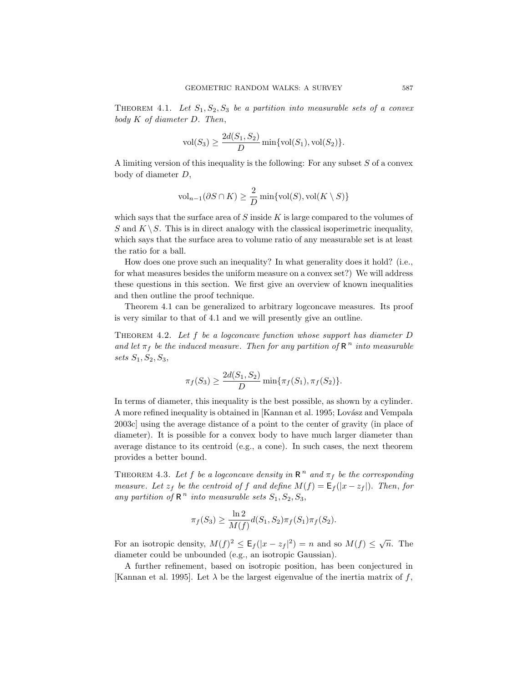THEOREM 4.1. Let  $S_1, S_2, S_3$  be a partition into measurable sets of a convex body K of diameter D. Then,

$$
vol(S_3) \ge \frac{2d(S_1, S_2)}{D} \min\{vol(S_1), vol(S_2)\}.
$$

A limiting version of this inequality is the following: For any subset  $S$  of a convex body of diameter D,

$$
\text{vol}_{n-1}(\partial S\cap K)\geq \frac{2}{D}\min\{\text{vol}(S),\text{vol}(K\setminus S)\}
$$

which says that the surface area of  $S$  inside  $K$  is large compared to the volumes of S and  $K \setminus S$ . This is in direct analogy with the classical isoperimetric inequality, which says that the surface area to volume ratio of any measurable set is at least the ratio for a ball.

How does one prove such an inequality? In what generality does it hold? (i.e., for what measures besides the uniform measure on a convex set?) We will address these questions in this section. We first give an overview of known inequalities and then outline the proof technique.

Theorem 4.1 can be generalized to arbitrary logconcave measures. Its proof is very similar to that of 4.1 and we will presently give an outline.

THEOREM 4.2. Let  $f$  be a logconcave function whose support has diameter  $D$ and let  $\pi_f$  be the induced measure. Then for any partition of  $\mathbb{R}^n$  into measurable sets  $S_1, S_2, S_3,$ 

$$
\pi_f(S_3) \ge \frac{2d(S_1, S_2)}{D} \min{\{\pi_f(S_1), \pi_f(S_2)\}}.
$$

In terms of diameter, this inequality is the best possible, as shown by a cylinder. A more refined inequality is obtained in [Kannan et al. 1995; Lovász and Vempala 2003c] using the average distance of a point to the center of gravity (in place of diameter). It is possible for a convex body to have much larger diameter than average distance to its centroid (e.g., a cone). In such cases, the next theorem provides a better bound.

THEOREM 4.3. Let f be a logconcave density in  $R^n$  and  $\pi_f$  be the corresponding measure. Let  $z_f$  be the centroid of f and define  $M(f) = E_f(|x - z_f|)$ . Then, for any partition of  $\mathbb{R}^n$  into measurable sets  $S_1, S_2, S_3$ ,

$$
\pi_f(S_3) \ge \frac{\ln 2}{M(f)} d(S_1, S_2) \pi_f(S_1) \pi_f(S_2).
$$

For an isotropic density,  $M(f)^2 \leq \mathsf{E}_f(|x - z_f|^2) = n$  and so  $M(f) \leq \sqrt{n}$ . The diameter could be unbounded (e.g., an isotropic Gaussian).

A further refinement, based on isotropic position, has been conjectured in [Kannan et al. 1995]. Let  $\lambda$  be the largest eigenvalue of the inertia matrix of f,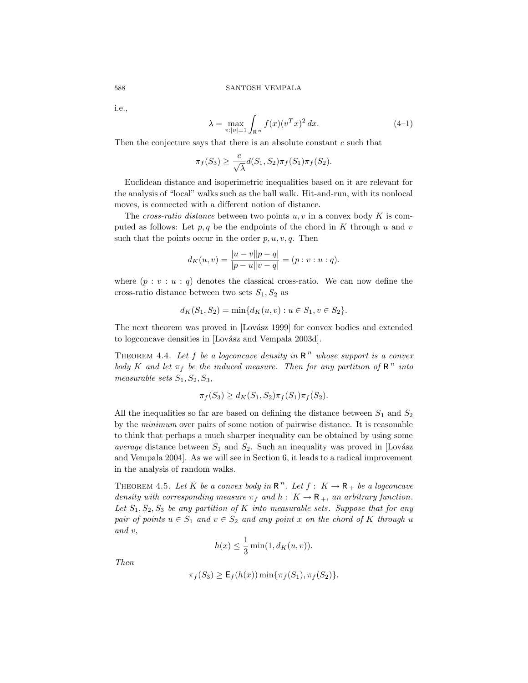i.e.,

$$
\lambda = \max_{v:|v|=1} \int_{\mathbb{R}^n} f(x) (v^T x)^2 dx.
$$
 (4-1)

Then the conjecture says that there is an absolute constant  $c$  such that

$$
\pi_f(S_3) \ge \frac{c}{\sqrt{\lambda}} d(S_1, S_2) \pi_f(S_1) \pi_f(S_2).
$$

Euclidean distance and isoperimetric inequalities based on it are relevant for the analysis of "local" walks such as the ball walk. Hit-and-run, with its nonlocal moves, is connected with a different notion of distance.

The cross-ratio distance between two points  $u, v$  in a convex body K is computed as follows: Let  $p, q$  be the endpoints of the chord in K through u and v such that the points occur in the order  $p, u, v, q$ . Then

$$
d_K(u,v) = \frac{|u-v||p-q|}{|p-u||v-q|} = (p:v:u:q).
$$

where  $(p : v : u : q)$  denotes the classical cross-ratio. We can now define the cross-ratio distance between two sets  $S_1, S_2$  as

$$
d_K(S_1, S_2) = \min\{d_K(u, v) : u \in S_1, v \in S_2\}.
$$

The next theorem was proved in [Lovász 1999] for convex bodies and extended to logconcave densities in [Lovász and Vempala 2003d].

THEOREM 4.4. Let f be a logconcave density in  $R^n$  whose support is a convex body K and let  $\pi_f$  be the induced measure. Then for any partition of  $\mathbb{R}^n$  into measurable sets  $S_1, S_2, S_3$ ,

$$
\pi_f(S_3) \ge d_K(S_1, S_2) \pi_f(S_1) \pi_f(S_2).
$$

All the inequalities so far are based on defining the distance between  $S_1$  and  $S_2$ by the minimum over pairs of some notion of pairwise distance. It is reasonable to think that perhaps a much sharper inequality can be obtained by using some average distance between  $S_1$  and  $S_2$ . Such an inequality was proved in [Lovász and Vempala 2004]. As we will see in Section 6, it leads to a radical improvement in the analysis of random walks.

THEOREM 4.5. Let K be a convex body in  $\mathbb{R}^n$ . Let  $f: K \to \mathbb{R}_+$  be a logconcave density with corresponding measure  $\pi_f$  and  $h: K \to \mathbb{R}_+$ , an arbitrary function. Let  $S_1, S_2, S_3$  be any partition of K into measurable sets. Suppose that for any pair of points  $u \in S_1$  and  $v \in S_2$  and any point x on the chord of K through u and v,

$$
h(x) \le \frac{1}{3} \min(1, d_K(u, v)).
$$

Then

$$
\pi_f(S_3) \ge \mathsf{E}_f(h(x)) \min \{ \pi_f(S_1), \pi_f(S_2) \}.
$$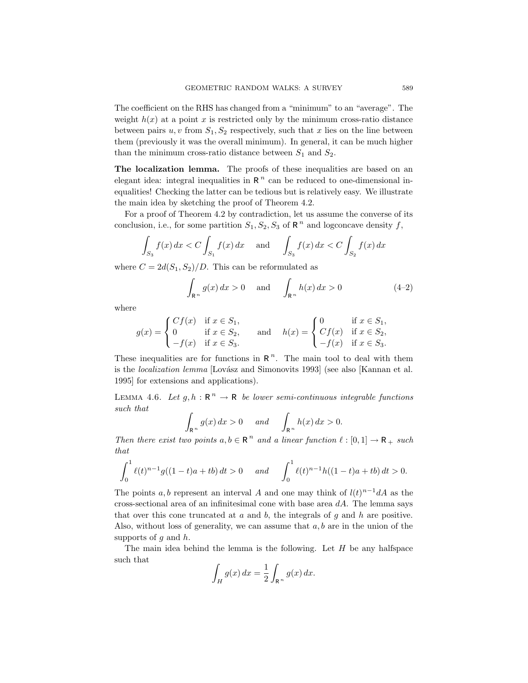The coefficient on the RHS has changed from a "minimum" to an "average". The weight  $h(x)$  at a point x is restricted only by the minimum cross-ratio distance between pairs  $u, v$  from  $S_1, S_2$  respectively, such that x lies on the line between them (previously it was the overall minimum). In general, it can be much higher than the minimum cross-ratio distance between  $S_1$  and  $S_2$ .

The localization lemma. The proofs of these inequalities are based on an elegant idea: integral inequalities in  $R<sup>n</sup>$  can be reduced to one-dimensional inequalities! Checking the latter can be tedious but is relatively easy. We illustrate the main idea by sketching the proof of Theorem 4.2.

For a proof of Theorem 4.2 by contradiction, let us assume the converse of its conclusion, i.e., for some partition  $S_1, S_2, S_3$  of  $\mathbb{R}^n$  and logconcave density f,

$$
\int_{S_3} f(x) dx < C \int_{S_1} f(x) dx
$$
 and  $\int_{S_3} f(x) dx < C \int_{S_2} f(x) dx$ 

where  $C = 2d(S_1, S_2)/D$ . This can be reformulated as

$$
\int_{\mathbb{R}^n} g(x) dx > 0 \quad \text{and} \quad \int_{\mathbb{R}^n} h(x) dx > 0 \tag{4-2}
$$

where

$$
g(x) = \begin{cases} Cf(x) & \text{if } x \in S_1, \\ 0 & \text{if } x \in S_2, \\ -f(x) & \text{if } x \in S_3. \end{cases} \quad \text{and} \quad h(x) = \begin{cases} 0 & \text{if } x \in S_1, \\ Cf(x) & \text{if } x \in S_2, \\ -f(x) & \text{if } x \in S_3. \end{cases}
$$

These inequalities are for functions in  $R<sup>n</sup>$ . The main tool to deal with them is the *localization lemma* [Lovász and Simonovits 1993] (see also [Kannan et al. 1995] for extensions and applications).

LEMMA 4.6. Let  $g, h : \mathbb{R}^n \to \mathbb{R}$  be lower semi-continuous integrable functions such that

$$
\int_{\mathbb{R}^n} g(x) dx > 0 \quad \text{and} \quad \int_{\mathbb{R}^n} h(x) dx > 0.
$$

Then there exist two points  $a, b \in \mathbb{R}^n$  and a linear function  $\ell : [0, 1] \to \mathbb{R}_+$  such that

$$
\int_0^1 \ell(t)^{n-1} g((1-t)a + tb) dt > 0 \quad and \quad \int_0^1 \ell(t)^{n-1} h((1-t)a + tb) dt > 0.
$$

The points a, b represent an interval A and one may think of  $l(t)^{n-1}dA$  as the cross-sectional area of an infinitesimal cone with base area  $dA$ . The lemma says that over this cone truncated at  $a$  and  $b$ , the integrals of  $g$  and  $h$  are positive. Also, without loss of generality, we can assume that  $a, b$  are in the union of the supports of q and  $h$ .

The main idea behind the lemma is the following. Let  $H$  be any halfspace such that

$$
\int_H g(x) \, dx = \frac{1}{2} \int_{\mathbb{R}^n} g(x) \, dx.
$$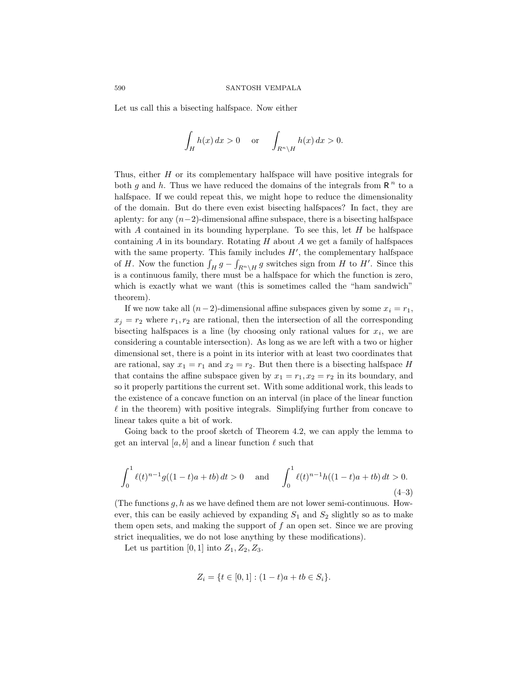Let us call this a bisecting halfspace. Now either

$$
\int_H h(x) dx > 0 \quad \text{or} \quad \int_{R^n \setminus H} h(x) dx > 0.
$$

Thus, either  $H$  or its complementary halfspace will have positive integrals for both g and h. Thus we have reduced the domains of the integrals from  $R<sup>n</sup>$  to a halfspace. If we could repeat this, we might hope to reduce the dimensionality of the domain. But do there even exist bisecting halfspaces? In fact, they are aplenty: for any  $(n-2)$ -dimensional affine subspace, there is a bisecting halfspace with  $A$  contained in its bounding hyperplane. To see this, let  $H$  be halfspace containing  $A$  in its boundary. Rotating  $H$  about  $A$  we get a family of halfspaces with the same property. This family includes  $H'$ , the complementary halfspace of H. Now the function  $\int_H g - \int_{R^n \setminus H} g$  switches sign from H to H'. Since this is a continuous family, there must be a halfspace for which the function is zero, which is exactly what we want (this is sometimes called the "ham sandwich" theorem).

If we now take all  $(n-2)$ -dimensional affine subspaces given by some  $x_i = r_1$ ,  $x_i = r_2$  where  $r_1, r_2$  are rational, then the intersection of all the corresponding bisecting halfspaces is a line (by choosing only rational values for  $x_i$ , we are considering a countable intersection). As long as we are left with a two or higher dimensional set, there is a point in its interior with at least two coordinates that are rational, say  $x_1 = r_1$  and  $x_2 = r_2$ . But then there is a bisecting halfspace H that contains the affine subspace given by  $x_1 = r_1, x_2 = r_2$  in its boundary, and so it properly partitions the current set. With some additional work, this leads to the existence of a concave function on an interval (in place of the linear function  $\ell$  in the theorem) with positive integrals. Simplifying further from concave to linear takes quite a bit of work.

Going back to the proof sketch of Theorem 4.2, we can apply the lemma to get an interval [a, b] and a linear function  $\ell$  such that

$$
\int_0^1 \ell(t)^{n-1} g((1-t)a + tb) dt > 0 \quad \text{and} \quad \int_0^1 \ell(t)^{n-1} h((1-t)a + tb) dt > 0.
$$
\n(4-3)

(The functions  $g, h$  as we have defined them are not lower semi-continuous. However, this can be easily achieved by expanding  $S_1$  and  $S_2$  slightly so as to make them open sets, and making the support of  $f$  an open set. Since we are proving strict inequalities, we do not lose anything by these modifications).

Let us partition [0, 1] into  $Z_1, Z_2, Z_3$ .

$$
Z_i = \{ t \in [0,1] : (1-t)a + tb \in S_i \}.
$$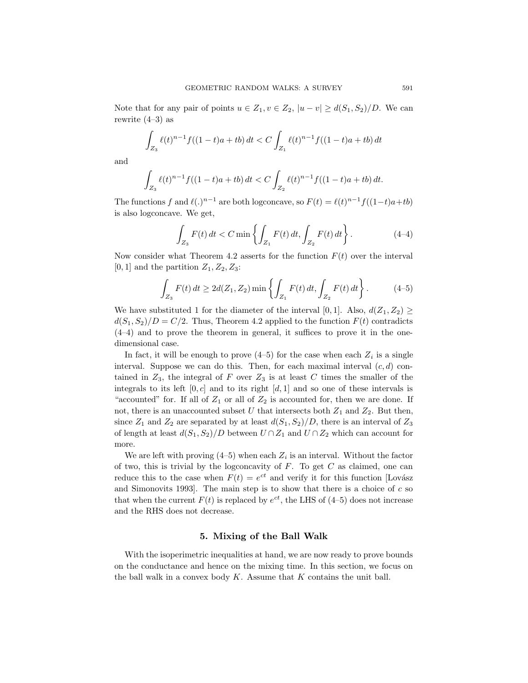Note that for any pair of points  $u \in Z_1, v \in Z_2, |u - v| \geq d(S_1, S_2)/D$ . We can rewrite (4–3) as

$$
\int_{Z_3} \ell(t)^{n-1} f((1-t)a + tb) dt < C \int_{Z_1} \ell(t)^{n-1} f((1-t)a + tb) dt
$$

and

$$
\int_{Z_3} \ell(t)^{n-1} f((1-t)a + tb) dt < C \int_{Z_2} \ell(t)^{n-1} f((1-t)a + tb) dt.
$$

The functions f and  $\ell(.)^{n-1}$  are both logconcave, so  $F(t) = \ell(t)^{n-1}f((1-t)a+tb)$ is also logconcave. We get,

$$
\int_{Z_3} F(t) dt < C \min \left\{ \int_{Z_1} F(t) dt, \int_{Z_2} F(t) dt \right\}.
$$
 (4-4)

Now consider what Theorem 4.2 asserts for the function  $F(t)$  over the interval [0, 1] and the partition  $Z_1, Z_2, Z_3$ :

$$
\int_{Z_3} F(t) dt \ge 2d(Z_1, Z_2) \min \left\{ \int_{Z_1} F(t) dt, \int_{Z_2} F(t) dt \right\}.
$$
 (4-5)

We have substituted 1 for the diameter of the interval [0, 1]. Also,  $d(Z_1, Z_2)$  >  $d(S_1, S_2)/D = C/2$ . Thus, Theorem 4.2 applied to the function  $F(t)$  contradicts (4–4) and to prove the theorem in general, it suffices to prove it in the onedimensional case.

In fact, it will be enough to prove  $(4-5)$  for the case when each  $Z_i$  is a single interval. Suppose we can do this. Then, for each maximal interval  $(c, d)$  contained in  $Z_3$ , the integral of F over  $Z_3$  is at least C times the smaller of the integrals to its left  $[0, c]$  and to its right  $[d, 1]$  and so one of these intervals is "accounted" for. If all of  $Z_1$  or all of  $Z_2$  is accounted for, then we are done. If not, there is an unaccounted subset U that intersects both  $Z_1$  and  $Z_2$ . But then, since  $Z_1$  and  $Z_2$  are separated by at least  $d(S_1, S_2)/D$ , there is an interval of  $Z_3$ of length at least  $d(S_1, S_2)/D$  between  $U \cap Z_1$  and  $U \cap Z_2$  which can account for more.

We are left with proving  $(4-5)$  when each  $Z_i$  is an interval. Without the factor of two, this is trivial by the logconcavity of  $F$ . To get  $C$  as claimed, one can reduce this to the case when  $F(t) = e^{ct}$  and verify it for this function [Lovász and Simonovits 1993. The main step is to show that there is a choice of  $c$  so that when the current  $F(t)$  is replaced by  $e^{ct}$ , the LHS of (4–5) does not increase and the RHS does not decrease.

### 5. Mixing of the Ball Walk

With the isoperimetric inequalities at hand, we are now ready to prove bounds on the conductance and hence on the mixing time. In this section, we focus on the ball walk in a convex body  $K$ . Assume that  $K$  contains the unit ball.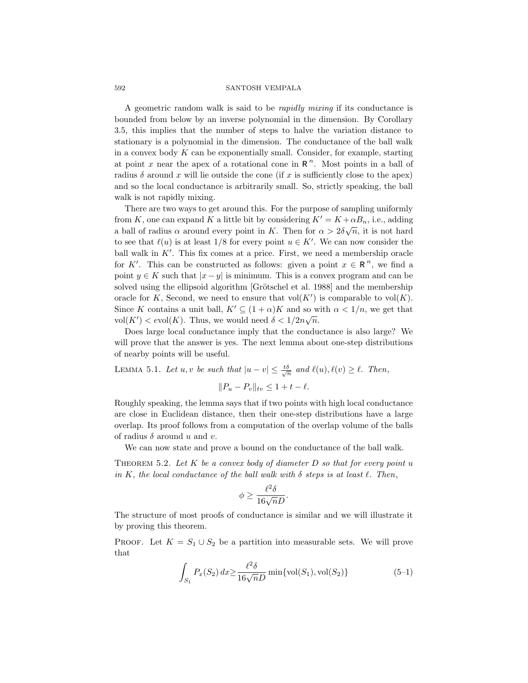A geometric random walk is said to be rapidly mixing if its conductance is bounded from below by an inverse polynomial in the dimension. By Corollary 3.5, this implies that the number of steps to halve the variation distance to stationary is a polynomial in the dimension. The conductance of the ball walk in a convex body  $K$  can be exponentially small. Consider, for example, starting at point x near the apex of a rotational cone in  $\mathbb{R}^n$ . Most points in a ball of radius  $\delta$  around x will lie outside the cone (if x is sufficiently close to the apex) and so the local conductance is arbitrarily small. So, strictly speaking, the ball walk is not rapidly mixing.

There are two ways to get around this. For the purpose of sampling uniformly from K, one can expand K a little bit by considering  $K' = K + \alpha B_n$ , i.e., adding a ball of radius  $\alpha$  around every point in K. Then for  $\alpha > 2\delta\sqrt{n}$ , it is not hard to see that  $\ell(u)$  is at least 1/8 for every point  $u \in K'$ . We can now consider the ball walk in  $K'$ . This fix comes at a price. First, we need a membership oracle for K'. This can be constructed as follows: given a point  $x \in \mathbb{R}^n$ , we find a point  $y \in K$  such that  $|x - y|$  is minimum. This is a convex program and can be solved using the ellipsoid algorithm [Grötschel et al. 1988] and the membership oracle for K, Second, we need to ensure that  $vol(K')$  is comparable to  $vol(K)$ . Since K contains a unit ball,  $K' \subseteq (1 + \alpha)K$  and so with  $\alpha < 1/n$ , we get that  $vol(K') < evol(K)$ . Thus, we would need  $\delta < 1/2n\sqrt{n}$ .

Does large local conductance imply that the conductance is also large? We will prove that the answer is yes. The next lemma about one-step distributions of nearby points will be useful.

LEMMA 5.1. Let  $u, v$  be such that  $|u - v| \leq \frac{t\delta}{\sqrt{n}}$  and  $\ell(u), \ell(v) \geq \ell$ . Then,  $||P_u - P_v||_{tv} \leq 1 + t - \ell.$ 

Roughly speaking, the lemma says that if two points with high local conductance are close in Euclidean distance, then their one-step distributions have a large overlap. Its proof follows from a computation of the overlap volume of the balls of radius  $\delta$  around u and v.

We can now state and prove a bound on the conductance of the ball walk.

THEOREM 5.2. Let  $K$  be a convex body of diameter  $D$  so that for every point  $u$ in K, the local conductance of the ball walk with  $\delta$  steps is at least  $\ell$ . Then,

$$
\phi \ge \frac{\ell^2 \delta}{16\sqrt{n}D}.
$$

The structure of most proofs of conductance is similar and we will illustrate it by proving this theorem.

PROOF. Let  $K = S_1 \cup S_2$  be a partition into measurable sets. We will prove that

$$
\int_{S_1} P_x(S_2) dx \ge \frac{\ell^2 \delta}{16\sqrt{n}D} \min\{\text{vol}(S_1), \text{vol}(S_2)\}\tag{5-1}
$$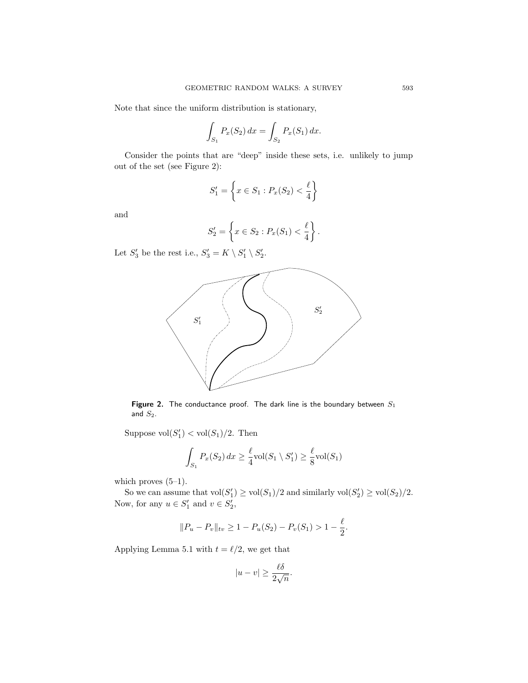Note that since the uniform distribution is stationary,

$$
\int_{S_1} P_x(S_2) \, dx = \int_{S_2} P_x(S_1) \, dx.
$$

Consider the points that are "deep" inside these sets, i.e. unlikely to jump out of the set (see Figure 2):

$$
S_1' = \left\{ x \in S_1 : P_x(S_2) < \frac{\ell}{4} \right\}
$$

and

$$
S_2' = \left\{ x \in S_2 : P_x(S_1) < \frac{\ell}{4} \right\}.
$$

Let  $S'_3$  be the rest i.e.,  $S'_3 = K \setminus S'_1 \setminus S'_2$ .



Figure 2. The conductance proof. The dark line is the boundary between  $S_1$ and  $S_2$ .

Suppose  $vol(S'_1) < vol(S_1)/2$ . Then

$$
\int_{S_1} P_x(S_2) dx \ge \frac{\ell}{4} \text{vol}(S_1 \setminus S_1') \ge \frac{\ell}{8} \text{vol}(S_1)
$$

which proves  $(5-1)$ .

So we can assume that  $vol(S'_1) \ge vol(S_1)/2$  and similarly  $vol(S'_2) \ge vol(S_2)/2$ . Now, for any  $u \in S'_1$  and  $v \in S'_2$ ,

$$
||P_u - P_v||_{tv} \ge 1 - P_u(S_2) - P_v(S_1) > 1 - \frac{\ell}{2}.
$$

Applying Lemma 5.1 with  $t = \ell/2$ , we get that

$$
|u - v| \ge \frac{\ell \delta}{2\sqrt{n}}.
$$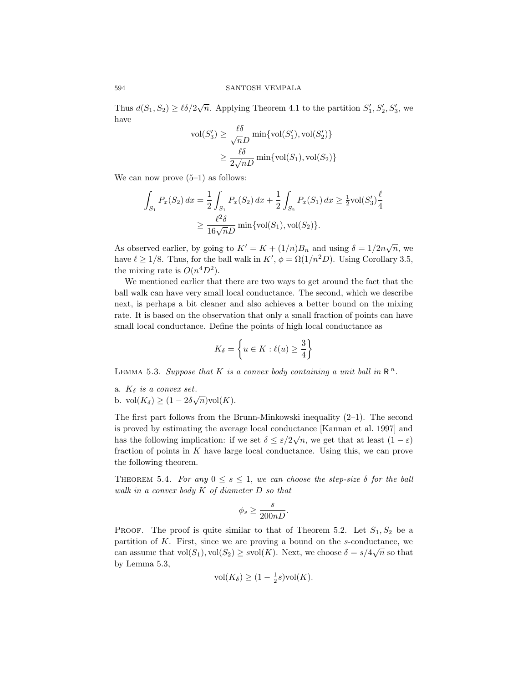Thus  $d(S_1, S_2) \ge \ell \delta / 2\sqrt{n}$ . Applying Theorem 4.1 to the partition  $S'_1, S'_2, S'_3$ , we have

$$
\text{vol}(S'_3) \ge \frac{\ell \delta}{\sqrt{n}D} \min\{\text{vol}(S'_1), \text{vol}(S'_2)\}
$$

$$
\ge \frac{\ell \delta}{2\sqrt{n}D} \min\{\text{vol}(S_1), \text{vol}(S_2)\}
$$

We can now prove  $(5-1)$  as follows:

$$
\int_{S_1} P_x(S_2) dx = \frac{1}{2} \int_{S_1} P_x(S_2) dx + \frac{1}{2} \int_{S_2} P_x(S_1) dx \ge \frac{1}{2} \text{vol}(S_3') \frac{\ell}{4}
$$
  

$$
\ge \frac{\ell^2 \delta}{16\sqrt{n}D} \min{\{\text{vol}(S_1), \text{vol}(S_2)\}}.
$$

As observed earlier, by going to  $K' = K + (1/n)B_n$  and using  $\delta = 1/2n\sqrt{n}$ , we have  $\ell \ge 1/8$ . Thus, for the ball walk in  $K'$ ,  $\phi = \Omega(1/n^2D)$ . Using Corollary 3.5, the mixing rate is  $O(n^4D^2)$ .

We mentioned earlier that there are two ways to get around the fact that the ball walk can have very small local conductance. The second, which we describe next, is perhaps a bit cleaner and also achieves a better bound on the mixing rate. It is based on the observation that only a small fraction of points can have small local conductance. Define the points of high local conductance as

$$
K_{\delta} = \left\{ u \in K : \ell(u) \ge \frac{3}{4} \right\}
$$

LEMMA 5.3. Suppose that K is a convex body containing a unit ball in  $\mathbb{R}^n$ .

a.  $K_{\delta}$  is a convex set. b. vol $(K_{\delta}) \geq (1 - 2\delta\sqrt{n})\text{vol}(K)$ .

The first part follows from the Brunn-Minkowski inequality  $(2-1)$ . The second is proved by estimating the average local conductance [Kannan et al. 1997] and has the following implication: if we set  $\delta \leq \varepsilon/2\sqrt{n}$ , we get that at least  $(1 - \varepsilon)$ fraction of points in  $K$  have large local conductance. Using this, we can prove the following theorem.

THEOREM 5.4. For any  $0 \le s \le 1$ , we can choose the step-size  $\delta$  for the ball walk in a convex body K of diameter D so that

$$
\phi_s \ge \frac{s}{200nD}.
$$

PROOF. The proof is quite similar to that of Theorem 5.2. Let  $S_1, S_2$  be a partition of  $K$ . First, since we are proving a bound on the s-conductance, we can assume that  $\text{vol}(S_1)$ ,  $\text{vol}(S_2) \geq \text{vol}(K)$ . Next, we choose  $\delta = s/4\sqrt{n}$  so that by Lemma 5.3,

$$
\text{vol}(K_{\delta}) \ge (1 - \frac{1}{2}s)\text{vol}(K).
$$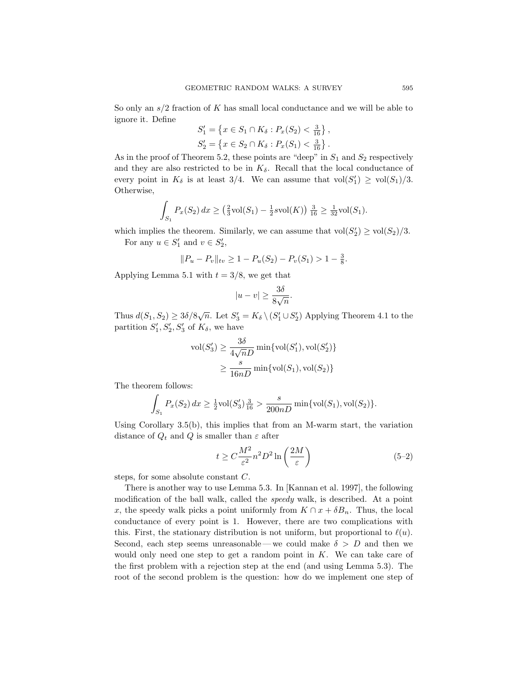So only an  $s/2$  fraction of K has small local conductance and we will be able to ignore it. Define

$$
S'_1 = \left\{ x \in S_1 \cap K_\delta : P_x(S_2) < \frac{3}{16} \right\},
$$
  
\n
$$
S'_2 = \left\{ x \in S_2 \cap K_\delta : P_x(S_1) < \frac{3}{16} \right\}.
$$

As in the proof of Theorem 5.2, these points are "deep" in  $S_1$  and  $S_2$  respectively and they are also restricted to be in  $K_{\delta}$ . Recall that the local conductance of every point in  $K_{\delta}$  is at least 3/4. We can assume that  $vol(S'_1) \ge vol(S_1)/3$ . Otherwise,

$$
\int_{S_1} P_x(S_2) dx \ge (\frac{2}{3} \text{vol}(S_1) - \frac{1}{2} \text{vol}(K)) \frac{3}{16} \ge \frac{1}{32} \text{vol}(S_1).
$$

which implies the theorem. Similarly, we can assume that  $\text{vol}(S'_2) \ge \text{vol}(S_2)/3$ . For any  $u \in S'_1$  and  $v \in S'_2$ ,

$$
||P_u - P_v||_{tv} \ge 1 - P_u(S_2) - P_v(S_1) > 1 -
$$

Applying Lemma 5.1 with  $t = 3/8$ , we get that

$$
|u - v| \ge \frac{3\delta}{8\sqrt{n}}.
$$

Thus  $d(S_1, S_2) \geq 3\delta/8\sqrt{n}$ . Let  $S_3' = K_{\delta} \setminus (S_1' \cup S_2')$  Applying Theorem 4.1 to the partition  $S'_1, S'_2, S'_3$  of  $K_\delta$ , we have

$$
\text{vol}(S'_3) \ge \frac{3\delta}{4\sqrt{n}D} \min\{\text{vol}(S'_1), \text{vol}(S'_2)\}
$$

$$
\ge \frac{s}{16nD} \min\{\text{vol}(S_1), \text{vol}(S_2)\}
$$

The theorem follows:

$$
\int_{S_1} P_x(S_2) dx \ge \frac{1}{2} \text{vol}(S_3') \frac{3}{16} > \frac{s}{200nD} \min\{\text{vol}(S_1), \text{vol}(S_2)\}.
$$

Using Corollary 3.5(b), this implies that from an M-warm start, the variation distance of  $Q_t$  and Q is smaller than  $\varepsilon$  after

$$
t \ge C \frac{M^2}{\varepsilon^2} n^2 D^2 \ln\left(\frac{2M}{\varepsilon}\right) \tag{5-2}
$$

 $\frac{3}{8}$ .

steps, for some absolute constant C.

There is another way to use Lemma 5.3. In [Kannan et al. 1997], the following modification of the ball walk, called the *speedy* walk, is described. At a point x, the speedy walk picks a point uniformly from  $K \cap x + \delta B_n$ . Thus, the local conductance of every point is 1. However, there are two complications with this. First, the stationary distribution is not uniform, but proportional to  $\ell(u)$ . Second, each step seems unreasonable—we could make  $\delta > D$  and then we would only need one step to get a random point in  $K$ . We can take care of the first problem with a rejection step at the end (and using Lemma 5.3). The root of the second problem is the question: how do we implement one step of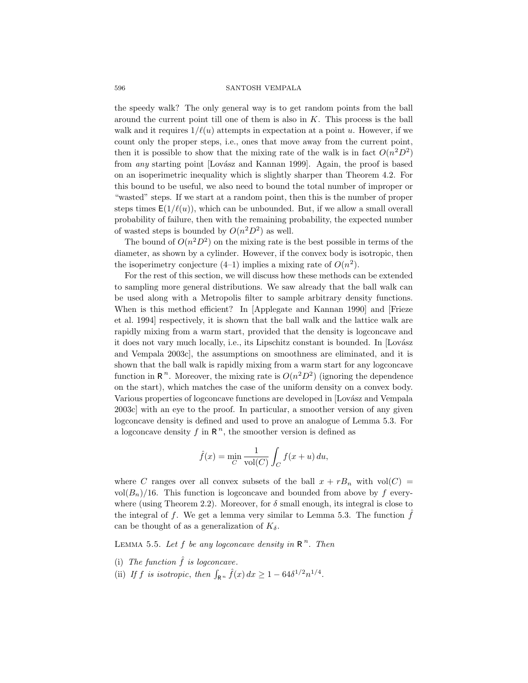the speedy walk? The only general way is to get random points from the ball around the current point till one of them is also in  $K$ . This process is the ball walk and it requires  $1/\ell(u)$  attempts in expectation at a point u. However, if we count only the proper steps, i.e., ones that move away from the current point, then it is possible to show that the mixing rate of the walk is in fact  $O(n^2D^2)$ from *any* starting point [Lovász and Kannan 1999]. Again, the proof is based on an isoperimetric inequality which is slightly sharper than Theorem 4.2. For this bound to be useful, we also need to bound the total number of improper or "wasted" steps. If we start at a random point, then this is the number of proper steps times  $E(1/\ell(u))$ , which can be unbounded. But, if we allow a small overall probability of failure, then with the remaining probability, the expected number of wasted steps is bounded by  $O(n^2D^2)$  as well.

The bound of  $O(n^2D^2)$  on the mixing rate is the best possible in terms of the diameter, as shown by a cylinder. However, if the convex body is isotropic, then the isoperimetry conjecture  $(4-1)$  implies a mixing rate of  $O(n^2)$ .

For the rest of this section, we will discuss how these methods can be extended to sampling more general distributions. We saw already that the ball walk can be used along with a Metropolis filter to sample arbitrary density functions. When is this method efficient? In [Applegate and Kannan 1990] and [Frieze et al. 1994] respectively, it is shown that the ball walk and the lattice walk are rapidly mixing from a warm start, provided that the density is logconcave and it does not vary much locally, i.e., its Lipschitz constant is bounded. In [Lovász] and Vempala 2003c], the assumptions on smoothness are eliminated, and it is shown that the ball walk is rapidly mixing from a warm start for any logconcave function in  $\mathbb{R}^n$ . Moreover, the mixing rate is  $O(n^2D^2)$  (ignoring the dependence on the start), which matches the case of the uniform density on a convex body. Various properties of logconcave functions are developed in [Lovász and Vempala 2003c] with an eye to the proof. In particular, a smoother version of any given logconcave density is defined and used to prove an analogue of Lemma 5.3. For a logconcave density  $f$  in  $\mathbb{R}^n$ , the smoother version is defined as

$$
\hat{f}(x) = \min_{C} \frac{1}{\text{vol}(C)} \int_{C} f(x+u) \, du,
$$

where C ranges over all convex subsets of the ball  $x + rB_n$  with vol $(C)$  = vol $(B_n)/16$ . This function is logconcave and bounded from above by f everywhere (using Theorem 2.2). Moreover, for  $\delta$  small enough, its integral is close to the integral of  $f$ . We get a lemma very similar to Lemma 5.3. The function  $f$ can be thought of as a generalization of  $K_{\delta}$ .

LEMMA 5.5. Let f be any logconcave density in  $\mathbb{R}^n$ . Then

- (i) The function  $\hat{f}$  is logconcave.
- (ii) If f is isotropic, then  $\int_{\mathbb{R}^n} \hat{f}(x) dx \geq 1 64\delta^{1/2} n^{1/4}$ .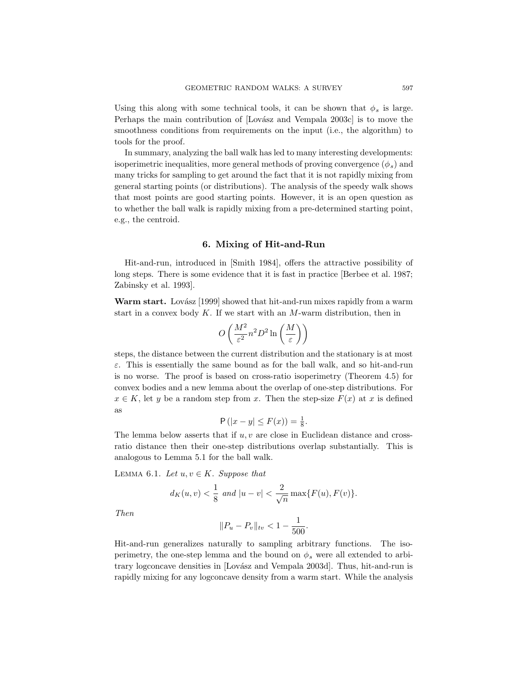Using this along with some technical tools, it can be shown that  $\phi_s$  is large. Perhaps the main contribution of [Lovász and Vempala 2003c] is to move the smoothness conditions from requirements on the input (i.e., the algorithm) to tools for the proof.

In summary, analyzing the ball walk has led to many interesting developments: isoperimetric inequalities, more general methods of proving convergence  $(\phi_s)$  and many tricks for sampling to get around the fact that it is not rapidly mixing from general starting points (or distributions). The analysis of the speedy walk shows that most points are good starting points. However, it is an open question as to whether the ball walk is rapidly mixing from a pre-determined starting point, e.g., the centroid.

### 6. Mixing of Hit-and-Run

Hit-and-run, introduced in [Smith 1984], offers the attractive possibility of long steps. There is some evidence that it is fast in practice [Berbee et al. 1987; Zabinsky et al. 1993].

**Warm start.** Lovász [1999] showed that hit-and-run mixes rapidly from a warm start in a convex body  $K$ . If we start with an  $M$ -warm distribution, then in

$$
O\left(\frac{M^2}{\varepsilon^2}n^2D^2\ln\left(\frac{M}{\varepsilon}\right)\right)
$$

steps, the distance between the current distribution and the stationary is at most  $\varepsilon$ . This is essentially the same bound as for the ball walk, and so hit-and-run is no worse. The proof is based on cross-ratio isoperimetry (Theorem 4.5) for convex bodies and a new lemma about the overlap of one-step distributions. For  $x \in K$ , let y be a random step from x. Then the step-size  $F(x)$  at x is defined as

$$
\mathsf{P}\left(|x-y| \leq F(x)\right) = \frac{1}{8}.
$$

The lemma below asserts that if  $u, v$  are close in Euclidean distance and crossratio distance then their one-step distributions overlap substantially. This is analogous to Lemma 5.1 for the ball walk.

LEMMA 6.1. Let  $u, v \in K$ . Suppose that

$$
d_K(u, v) < \frac{1}{8}
$$
 and  $|u - v| < \frac{2}{\sqrt{n}} \max\{F(u), F(v)\}.$ 

Then

$$
||P_u - P_v||_{tv} < 1 - \frac{1}{500}.
$$

Hit-and-run generalizes naturally to sampling arbitrary functions. The isoperimetry, the one-step lemma and the bound on  $\phi_s$  were all extended to arbitrary logconcave densities in [Lovász and Vempala 2003d]. Thus, hit-and-run is rapidly mixing for any logconcave density from a warm start. While the analysis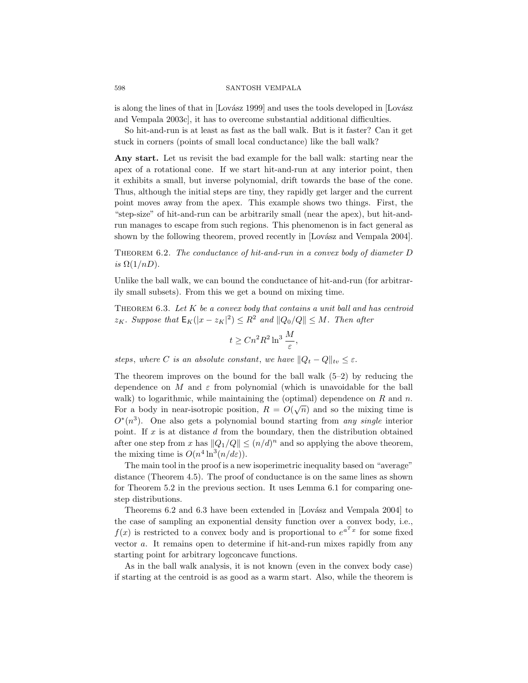is along the lines of that in [Lovász 1999] and uses the tools developed in [Lovász and Vempala 2003c], it has to overcome substantial additional difficulties.

So hit-and-run is at least as fast as the ball walk. But is it faster? Can it get stuck in corners (points of small local conductance) like the ball walk?

Any start. Let us revisit the bad example for the ball walk: starting near the apex of a rotational cone. If we start hit-and-run at any interior point, then it exhibits a small, but inverse polynomial, drift towards the base of the cone. Thus, although the initial steps are tiny, they rapidly get larger and the current point moves away from the apex. This example shows two things. First, the "step-size" of hit-and-run can be arbitrarily small (near the apex), but hit-andrun manages to escape from such regions. This phenomenon is in fact general as shown by the following theorem, proved recently in [Lovász and Vempala 2004].

THEOREM 6.2. The conductance of hit-and-run in a convex body of diameter  $D$ is  $\Omega(1/nD)$ .

Unlike the ball walk, we can bound the conductance of hit-and-run (for arbitrarily small subsets). From this we get a bound on mixing time.

THEOREM  $6.3.$  Let  $K$  be a convex body that contains a unit ball and has centroid  $z_K$ . Suppose that  $\mathsf{E}_K(|x-z_K|^2) \leq R^2$  and  $||Q_0/Q|| \leq M$ . Then after

$$
t \ge Cn^2 R^2 \ln^3 \frac{M}{\varepsilon},
$$

steps, where C is an absolute constant, we have  $||Q_t - Q||_{tv} \leq \varepsilon$ .

The theorem improves on the bound for the ball walk  $(5-2)$  by reducing the dependence on M and  $\varepsilon$  from polynomial (which is unavoidable for the ball walk) to logarithmic, while maintaining the (optimal) dependence on  $R$  and  $n$ . For a body in near-isotropic position,  $R = O(\sqrt{n})$  and so the mixing time is  $O^*(n^3)$ . One also gets a polynomial bound starting from any single interior point. If  $x$  is at distance  $d$  from the boundary, then the distribution obtained after one step from x has  $||Q_1/Q|| \leq (n/d)^n$  and so applying the above theorem, the mixing time is  $O(n^4 \ln^3(n/d\varepsilon)).$ 

The main tool in the proof is a new isoperimetric inequality based on "average" distance (Theorem 4.5). The proof of conductance is on the same lines as shown for Theorem 5.2 in the previous section. It uses Lemma 6.1 for comparing onestep distributions.

Theorems 6.2 and 6.3 have been extended in [Lovász and Vempala 2004] to the case of sampling an exponential density function over a convex body, i.e.,  $f(x)$  is restricted to a convex body and is proportional to  $e^{a^T x}$  for some fixed vector a. It remains open to determine if hit-and-run mixes rapidly from any starting point for arbitrary logconcave functions.

As in the ball walk analysis, it is not known (even in the convex body case) if starting at the centroid is as good as a warm start. Also, while the theorem is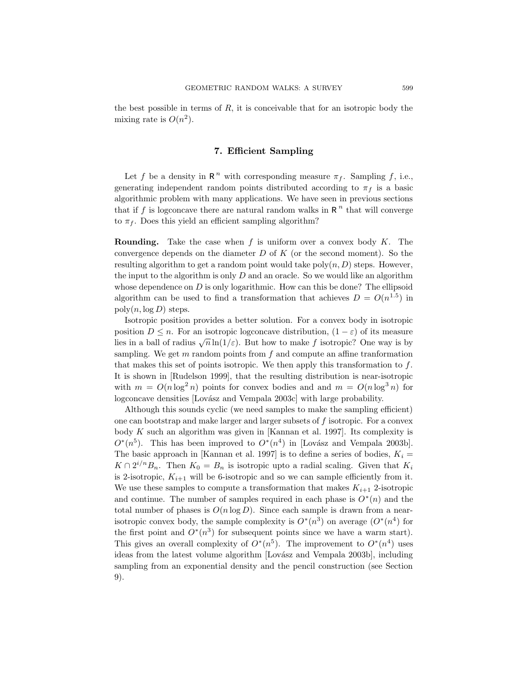the best possible in terms of  $R$ , it is conceivable that for an isotropic body the mixing rate is  $O(n^2)$ .

# 7. Efficient Sampling

Let f be a density in  $\mathbb{R}^n$  with corresponding measure  $\pi_f$ . Sampling f, i.e., generating independent random points distributed according to  $\pi_f$  is a basic algorithmic problem with many applications. We have seen in previous sections that if  $f$  is logconcave there are natural random walks in  $R<sup>n</sup>$  that will converge to  $\pi_f$ . Does this yield an efficient sampling algorithm?

**Rounding.** Take the case when  $f$  is uniform over a convex body  $K$ . The convergence depends on the diameter  $D$  of  $K$  (or the second moment). So the resulting algorithm to get a random point would take  $poly(n, D)$  steps. However, the input to the algorithm is only  $D$  and an oracle. So we would like an algorithm whose dependence on  $D$  is only logarithmic. How can this be done? The ellipsoid algorithm can be used to find a transformation that achieves  $D = O(n^{1.5})$  in  $poly(n, \log D)$  steps.

Isotropic position provides a better solution. For a convex body in isotropic position  $D \leq n$ . For an isotropic logconcave distribution,  $(1 - \varepsilon)$  of its measure lies in a ball of radius  $\sqrt{n} \ln(1/\varepsilon)$ . But how to make f isotropic? One way is by sampling. We get  $m$  random points from  $f$  and compute an affine transformation that makes this set of points isotropic. We then apply this transformation to  $f$ . It is shown in [Rudelson 1999], that the resulting distribution is near-isotropic with  $m = O(n \log^2 n)$  points for convex bodies and and  $m = O(n \log^3 n)$  for logconcave densities [Lovász and Vempala 2003c] with large probability.

Although this sounds cyclic (we need samples to make the sampling efficient) one can bootstrap and make larger and larger subsets of f isotropic. For a convex body  $K$  such an algorithm was given in [Kannan et al. 1997]. Its complexity is  $O^*(n^5)$ . This has been improved to  $O^*(n^4)$  in [Lovász and Vempala 2003b]. The basic approach in [Kannan et al. 1997] is to define a series of bodies,  $K_i =$  $K \cap 2^{i/n}B_n$ . Then  $K_0 = B_n$  is isotropic upto a radial scaling. Given that  $K_i$ is 2-isotropic,  $K_{i+1}$  will be 6-isotropic and so we can sample efficiently from it. We use these samples to compute a transformation that makes  $K_{i+1}$  2-isotropic and continue. The number of samples required in each phase is  $O^*(n)$  and the total number of phases is  $O(n \log D)$ . Since each sample is drawn from a nearisotropic convex body, the sample complexity is  $O^*(n^3)$  on average  $(O^*(n^4))$  for the first point and  $O^*(n^3)$  for subsequent points since we have a warm start). This gives an overall complexity of  $O^*(n^5)$ . The improvement to  $O^*(n^4)$  uses ideas from the latest volume algorithm [Lovász and Vempala 2003b], including sampling from an exponential density and the pencil construction (see Section 9).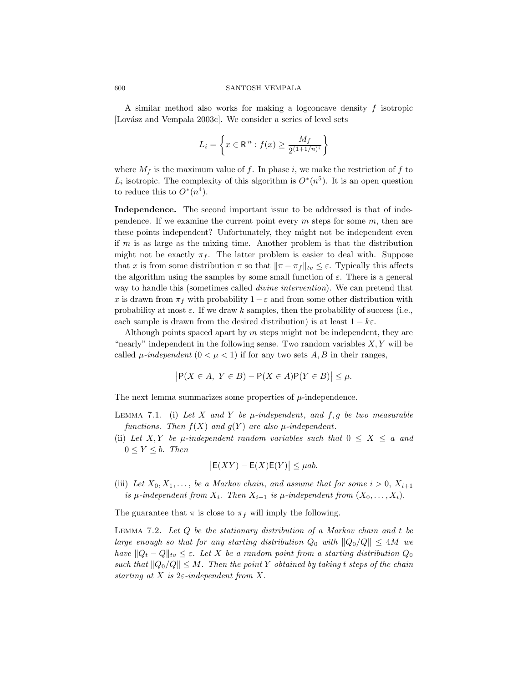A similar method also works for making a logconcave density  $f$  isotropic [Lovász and Vempala 2003c]. We consider a series of level sets

$$
L_i = \left\{ x \in \mathbb{R}^n : f(x) \ge \frac{M_f}{2^{(1+1/n)^i}} \right\}
$$

where  $M_f$  is the maximum value of f. In phase i, we make the restriction of f to  $L_i$  isotropic. The complexity of this algorithm is  $O^*(n^5)$ . It is an open question to reduce this to  $O^*(n^4)$ .

Independence. The second important issue to be addressed is that of independence. If we examine the current point every  $m$  steps for some  $m$ , then are these points independent? Unfortunately, they might not be independent even if  $m$  is as large as the mixing time. Another problem is that the distribution might not be exactly  $\pi_f$ . The latter problem is easier to deal with. Suppose that x is from some distribution  $\pi$  so that  $\|\pi - \pi_f\|_{tv} \leq \varepsilon$ . Typically this affects the algorithm using the samples by some small function of  $\varepsilon$ . There is a general way to handle this (sometimes called *divine intervention*). We can pretend that x is drawn from  $\pi_f$  with probability  $1-\varepsilon$  and from some other distribution with probability at most  $\varepsilon$ . If we draw k samples, then the probability of success (i.e., each sample is drawn from the desired distribution) is at least  $1 - k\varepsilon$ .

Although points spaced apart by  $m$  steps might not be independent, they are "nearly" independent in the following sense. Two random variables  $X, Y$  will be called  $\mu$ -independent  $(0 < \mu < 1)$  if for any two sets A, B in their ranges,

$$
\left|\mathsf{P}(X \in A, \ Y \in B) - \mathsf{P}(X \in A)\mathsf{P}(Y \in B)\right| \leq \mu.
$$

The next lemma summarizes some properties of  $\mu$ -independence.

- LEMMA 7.1. (i) Let X and Y be  $\mu$ -independent, and f, g be two measurable functions. Then  $f(X)$  and  $g(Y)$  are also  $\mu$ -independent.
- (ii) Let X, Y be  $\mu$ -independent random variables such that  $0 \leq X \leq a$  and  $0 \le Y \le b$ . Then

$$
\big|\mathsf{E}(XY) - \mathsf{E}(X)\mathsf{E}(Y)\big| \leq \mu ab.
$$

(iii) Let  $X_0, X_1, \ldots$ , be a Markov chain, and assume that for some  $i > 0$ ,  $X_{i+1}$ is  $\mu$ -independent from  $X_i$ . Then  $X_{i+1}$  is  $\mu$ -independent from  $(X_0, \ldots, X_i)$ .

The guarantee that  $\pi$  is close to  $\pi_f$  will imply the following.

LEMMA 7.2. Let  $Q$  be the stationary distribution of a Markov chain and  $t$  be large enough so that for any starting distribution  $Q_0$  with  $||Q_0/Q|| \leq 4M$  we have  $||Q_t - Q||_{tv} \leq \varepsilon$ . Let X be a random point from a starting distribution  $Q_0$ such that  $||Q_0/Q|| \leq M$ . Then the point Y obtained by taking t steps of the chain starting at X is  $2\varepsilon$ -independent from X.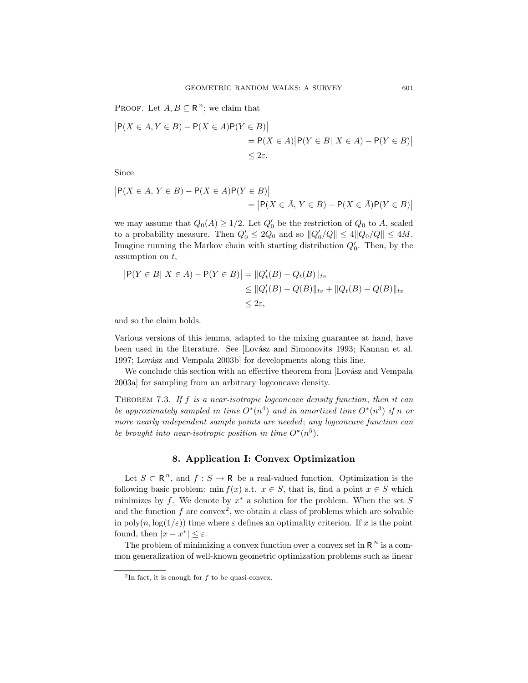PROOF. Let  $A, B \subseteq \mathbb{R}^n$ ; we claim that

$$
|P(X \in A, Y \in B) - P(X \in A)P(Y \in B)|
$$
  
= P(X \in A) |P(Y \in B| X \in A) - P(Y \in B)|  

$$
\leq 2\varepsilon.
$$

Since

$$
|P(X \in A, Y \in B) - P(X \in A)P(Y \in B)|
$$
  
= 
$$
|P(X \in \overline{A}, Y \in B) - P(X \in \overline{A})P(Y \in B)|
$$

we may assume that  $Q_0(A) \geq 1/2$ . Let  $Q'_0$  be the restriction of  $Q_0$  to A, scaled to a probability measure. Then  $Q'_0 \leq 2Q_0$  and so  $||Q'_0/Q|| \leq 4||Q_0/Q|| \leq 4M$ . Imagine running the Markov chain with starting distribution  $Q'_0$ . Then, by the assumption on  $t$ ,

$$
|P(Y \in B | X \in A) - P(Y \in B)| = ||Q'_{t}(B) - Q_{t}(B)||_{tv}
$$
  
\n
$$
\leq ||Q'_{t}(B) - Q(B)||_{tv} + ||Q_{t}(B) - Q(B)||_{tv}
$$
  
\n
$$
\leq 2\varepsilon,
$$

and so the claim holds.

Various versions of this lemma, adapted to the mixing guarantee at hand, have been used in the literature. See [Lovász and Simonovits 1993; Kannan et al. 1997; Lovász and Vempala 2003b] for developments along this line.

We conclude this section with an effective theorem from [Lovász and Vempala] 2003a] for sampling from an arbitrary logconcave density.

THEOREM 7.3. If  $f$  is a near-isotropic logconcave density function, then it can be approximately sampled in time  $O^*(n^4)$  and in amortized time  $O^*(n^3)$  if n or more nearly independent sample points are needed; any logconcave function can be brought into near-isotropic position in time  $O^*(n^5)$ .

# 8. Application I: Convex Optimization

Let  $S \subset \mathbb{R}^n$ , and  $f : S \to \mathbb{R}$  be a real-valued function. Optimization is the following basic problem: min  $f(x)$  s.t.  $x \in S$ , that is, find a point  $x \in S$  which minimizes by f. We denote by  $x^*$  a solution for the problem. When the set S and the function  $f$  are convex<sup>2</sup>, we obtain a class of problems which are solvable in poly $(n, \log(1/\varepsilon))$  time where  $\varepsilon$  defines an optimality criterion. If x is the point found, then  $|x - x^*| \le \varepsilon$ .

The problem of minimizing a convex function over a convex set in  $R^n$  is a common generalization of well-known geometric optimization problems such as linear

<sup>&</sup>lt;sup>2</sup>In fact, it is enough for  $f$  to be quasi-convex.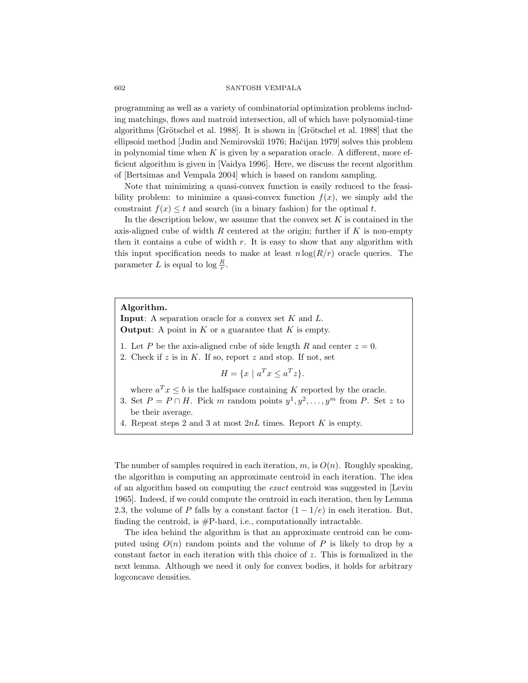programming as well as a variety of combinatorial optimization problems including matchings, flows and matroid intersection, all of which have polynomial-time algorithms [Grötschel et al. 1988]. It is shown in [Grötschel et al. 1988] that the ellipsoid method [Judin and Nemirovskiĭ 1976; Hačijan 1979] solves this problem in polynomial time when  $K$  is given by a separation oracle. A different, more efficient algorithm is given in [Vaidya 1996]. Here, we discuss the recent algorithm of [Bertsimas and Vempala 2004] which is based on random sampling.

Note that minimizing a quasi-convex function is easily reduced to the feasibility problem: to minimize a quasi-convex function  $f(x)$ , we simply add the constraint  $f(x) \leq t$  and search (in a binary fashion) for the optimal t.

In the description below, we assume that the convex set  $K$  is contained in the axis-aligned cube of width R centered at the origin; further if  $K$  is non-empty then it contains a cube of width  $r$ . It is easy to show that any algorithm with this input specification needs to make at least  $n \log(R/r)$  oracle queries. The parameter L is equal to  $\log \frac{R}{r}$ .

### Algorithm.

**Input:** A separation oracle for a convex set  $K$  and  $L$ . **Output:** A point in  $K$  or a guarantee that  $K$  is empty.

- 1. Let P be the axis-aligned cube of side length R and center  $z = 0$ .
- 2. Check if  $z$  is in  $K$ . If so, report  $z$  and stop. If not, set

$$
H = \{ x \mid a^T x \le a^T z \}.
$$

where  $a^T x \leq b$  is the halfspace containing K reported by the oracle.

- 3. Set  $P = P \cap H$ . Pick m random points  $y^1, y^2, \dots, y^m$  from P. Set z to be their average.
- 4. Repeat steps 2 and 3 at most  $2nL$  times. Report K is empty.

The number of samples required in each iteration,  $m$ , is  $O(n)$ . Roughly speaking, the algorithm is computing an approximate centroid in each iteration. The idea of an algorithm based on computing the exact centroid was suggested in [Levin 1965]. Indeed, if we could compute the centroid in each iteration, then by Lemma 2.3, the volume of P falls by a constant factor  $(1 - 1/e)$  in each iteration. But, finding the centroid, is  $\#P$ -hard, i.e., computationally intractable.

The idea behind the algorithm is that an approximate centroid can be computed using  $O(n)$  random points and the volume of P is likely to drop by a constant factor in each iteration with this choice of z. This is formalized in the next lemma. Although we need it only for convex bodies, it holds for arbitrary logconcave densities.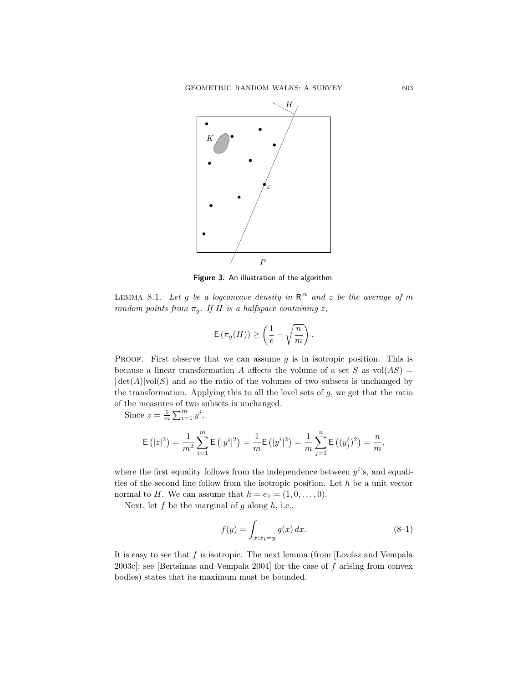

Figure 3. An illustration of the algorithm.

LEMMA 8.1. Let g be a logconcave density in  $\mathbb{R}^n$  and z be the average of m random points from  $\pi_q$ . If H is a halfspace containing z,

$$
\mathsf{E}\left(\pi_g(H)\right)\geq\left(\frac{1}{e}-\sqrt{\frac{n}{m}}\right).
$$

PROOF. First observe that we can assume  $q$  is in isotropic position. This is because a linear transformation A affects the volume of a set S as  $vol(AS)$  =  $|\det(A)|\text{vol}(S)$  and so the ratio of the volumes of two subsets is unchanged by the transformation. Applying this to all the level sets of  $g$ , we get that the ratio of the measures of two subsets is unchanged.

Since  $z = \frac{1}{m} \sum_{i=1}^{m} y^i$ ,

$$
\mathsf{E}\left(|z|^2\right) = \frac{1}{m^2} \sum_{i=1}^m \mathsf{E}\left(|y^i|^2\right) = \frac{1}{m} \mathsf{E}\left(|y^i|^2\right) = \frac{1}{m} \sum_{j=1}^n \mathsf{E}\left((y^i_j)^2\right) = \frac{n}{m},
$$

where the first equality follows from the independence between  $y^{i}$ 's, and equalities of the second line follow from the isotropic position. Let  $h$  be a unit vector normal to H. We can assume that  $h = e_1 = (1, 0, \ldots, 0)$ .

Next, let  $f$  be the marginal of  $g$  along  $h$ , i.e.,

$$
f(y) = \int_{x:x_1=y} g(x) dx.
$$
 (8-1)

It is easy to see that  $f$  is isotropic. The next lemma (from [Lovász and Vempala 2003c]; see [Bertsimas and Vempala 2004] for the case of  $f$  arising from convex bodies) states that its maximum must be bounded.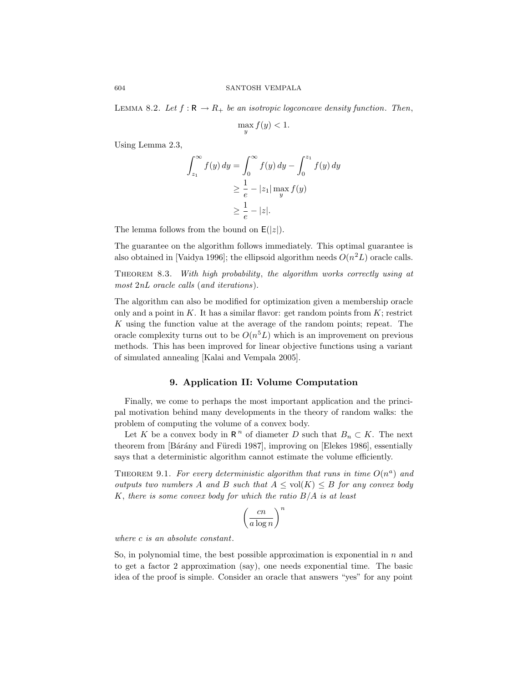LEMMA 8.2. Let  $f : \mathbb{R} \to \mathbb{R}_+$  be an isotropic logconcave density function. Then,

$$
\max_{y} f(y) < 1.
$$

Using Lemma 2.3,

$$
\int_{z_1}^{\infty} f(y) dy = \int_0^{\infty} f(y) dy - \int_0^{z_1} f(y) dy
$$

$$
\geq \frac{1}{e} - |z_1| \max_y f(y)
$$

$$
\geq \frac{1}{e} - |z|.
$$

The lemma follows from the bound on  $E(|z|)$ .

The guarantee on the algorithm follows immediately. This optimal guarantee is also obtained in [Vaidya 1996]; the ellipsoid algorithm needs  $O(n^2L)$  oracle calls.

THEOREM 8.3. With high probability, the algorithm works correctly using at most 2nL oracle calls (and iterations).

The algorithm can also be modified for optimization given a membership oracle only and a point in  $K$ . It has a similar flavor: get random points from  $K$ ; restrict  $K$  using the function value at the average of the random points; repeat. The oracle complexity turns out to be  $O(n^5L)$  which is an improvement on previous methods. This has been improved for linear objective functions using a variant of simulated annealing [Kalai and Vempala 2005].

# 9. Application II: Volume Computation

Finally, we come to perhaps the most important application and the principal motivation behind many developments in the theory of random walks: the problem of computing the volume of a convex body.

Let K be a convex body in  $\mathbb{R}^n$  of diameter D such that  $B_n \subset K$ . The next theorem from [Bárány and Füredi 1987], improving on [Elekes 1986], essentially says that a deterministic algorithm cannot estimate the volume efficiently.

THEOREM 9.1. For every deterministic algorithm that runs in time  $O(n^a)$  and outputs two numbers A and B such that  $A \leq vol(K) \leq B$  for any convex body K, there is some convex body for which the ratio  $B/A$  is at least

$$
\left(\frac{cn}{a\log n}\right)^n
$$

where c is an absolute constant.

So, in polynomial time, the best possible approximation is exponential in  $n$  and to get a factor 2 approximation (say), one needs exponential time. The basic idea of the proof is simple. Consider an oracle that answers "yes" for any point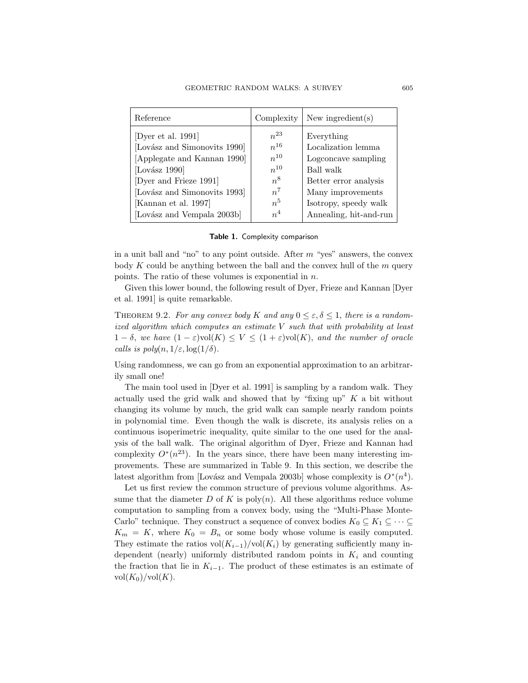| Reference                    | Complexity     | New ingredient $(s)$   |
|------------------------------|----------------|------------------------|
| [Dyer et al. 1991]           | $n^{23}$       | Everything             |
| [Lovász and Simonovits 1990] | $n^{16}$       | Localization lemma     |
| [Applegate and Kannan 1990]  | $n^{10}$       | Logconcave sampling    |
| [Lovász 1990]                | $n^{10}$       | Ball walk              |
| [Dyer and Frieze 1991]       | $n^8$          | Better error analysis  |
| [Lovász and Simonovits 1993] | $n^7$          | Many improvements      |
| [Kannan et al. 1997]         | n <sup>5</sup> | Isotropy, speedy walk  |
| [Lovász and Vempala 2003b]   | n <sup>4</sup> | Annealing, hit-and-run |

|  |  | Table 1. Complexity comparison |
|--|--|--------------------------------|

in a unit ball and "no" to any point outside. After  $m$  "yes" answers, the convex body  $K$  could be anything between the ball and the convex hull of the  $m$  query points. The ratio of these volumes is exponential in  $n$ .

Given this lower bound, the following result of Dyer, Frieze and Kannan [Dyer et al. 1991] is quite remarkable.

THEOREM 9.2. For any convex body K and any  $0 \le \varepsilon, \delta \le 1$ , there is a randomized algorithm which computes an estimate  $V$  such that with probability at least  $1 - \delta$ , we have  $(1 - \varepsilon) \text{vol}(K) \leq V \leq (1 + \varepsilon) \text{vol}(K)$ , and the number of oracle calls is  $poly(n, 1/\varepsilon, \log(1/\delta)).$ 

Using randomness, we can go from an exponential approximation to an arbitrarily small one!

The main tool used in [Dyer et al. 1991] is sampling by a random walk. They actually used the grid walk and showed that by "fixing up"  $K$  a bit without changing its volume by much, the grid walk can sample nearly random points in polynomial time. Even though the walk is discrete, its analysis relies on a continuous isoperimetric inequality, quite similar to the one used for the analysis of the ball walk. The original algorithm of Dyer, Frieze and Kannan had complexity  $O^*(n^{23})$ . In the years since, there have been many interesting improvements. These are summarized in Table 9. In this section, we describe the latest algorithm from [Lovász and Vempala 2003b] whose complexity is  $O^*(n^4)$ .

Let us first review the common structure of previous volume algorithms. Assume that the diameter  $D$  of  $K$  is poly $(n)$ . All these algorithms reduce volume computation to sampling from a convex body, using the "Multi-Phase Monte-Carlo" technique. They construct a sequence of convex bodies  $K_0 \subseteq K_1 \subseteq \cdots \subseteq$  $K_m = K$ , where  $K_0 = B_n$  or some body whose volume is easily computed. They estimate the ratios  $vol(K_{i-1})/vol(K_i)$  by generating sufficiently many independent (nearly) uniformly distributed random points in  $K_i$  and counting the fraction that lie in  $K_{i-1}$ . The product of these estimates is an estimate of  $vol(K_0)/vol(K)$ .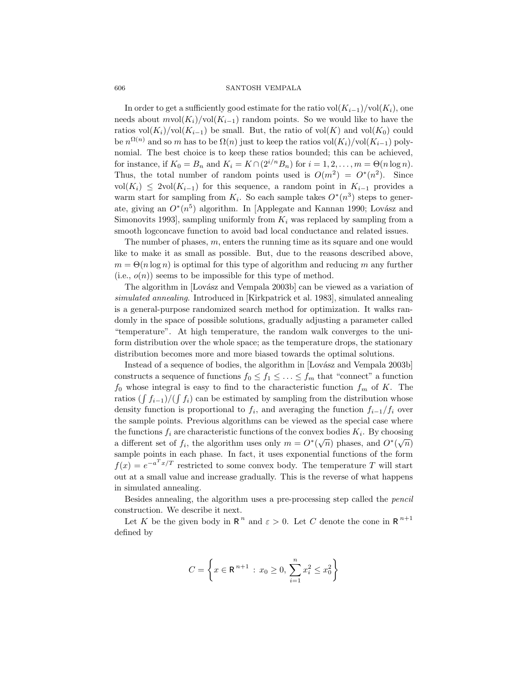In order to get a sufficiently good estimate for the ratio vol $(K_{i-1})/\text{vol}(K_i)$ , one needs about  $mvol(K_i)/vol(K_{i-1})$  random points. So we would like to have the ratios vol $(K_i)/\text{vol}(K_{i-1})$  be small. But, the ratio of vol $(K)$  and vol $(K_0)$  could be  $n^{\Omega(n)}$  and so m has to be  $\Omega(n)$  just to keep the ratios vol $(K_i)/\text{vol}(K_{i-1})$  polynomial. The best choice is to keep these ratios bounded; this can be achieved, for instance, if  $K_0 = B_n$  and  $K_i = K \cap (2^{i/n}B_n)$  for  $i = 1, 2, ..., m = \Theta(n \log n)$ . Thus, the total number of random points used is  $O(m^2) = O^*(n^2)$ . Since vol( $K_i$ ) ≤ 2vol( $K_{i-1}$ ) for this sequence, a random point in  $K_{i-1}$  provides a warm start for sampling from  $K_i$ . So each sample takes  $O^*(n^3)$  steps to generate, giving an  $O^*(n^5)$  algorithm. In [Applegate and Kannan 1990; Lovász and Simonovits 1993, sampling uniformly from  $K_i$  was replaced by sampling from a smooth logconcave function to avoid bad local conductance and related issues.

The number of phases,  $m$ , enters the running time as its square and one would like to make it as small as possible. But, due to the reasons described above,  $m = \Theta(n \log n)$  is optimal for this type of algorithm and reducing m any further (i.e.,  $o(n)$ ) seems to be impossible for this type of method.

The algorithm in [Lovász and Vempala 2003b] can be viewed as a variation of simulated annealing. Introduced in [Kirkpatrick et al. 1983], simulated annealing is a general-purpose randomized search method for optimization. It walks randomly in the space of possible solutions, gradually adjusting a parameter called "temperature". At high temperature, the random walk converges to the uniform distribution over the whole space; as the temperature drops, the stationary distribution becomes more and more biased towards the optimal solutions.

Instead of a sequence of bodies, the algorithm in [Lovász and Vempala 2003b] constructs a sequence of functions  $f_0 \leq f_1 \leq \ldots \leq f_m$  that "connect" a function  $f_0$  whose integral is easy to find to the characteristic function  $f_m$  of K. The ratios  $(\int f_{i-1})/(\int f_i)$  can be estimated by sampling from the distribution whose density function is proportional to  $f_i$ , and averaging the function  $f_{i-1}/f_i$  over the sample points. Previous algorithms can be viewed as the special case where the functions  $f_i$  are characteristic functions of the convex bodies  $K_i$ . By choosing a different set of  $f_i$ , the algorithm uses only  $m = O^*(\sqrt{n})$  phases, and  $O^*(\sqrt{n})$ sample points in each phase. In fact, it uses exponential functions of the form  $f(x) = e^{-a^T x/T}$  restricted to some convex body. The temperature T will start out at a small value and increase gradually. This is the reverse of what happens in simulated annealing.

Besides annealing, the algorithm uses a pre-processing step called the pencil construction. We describe it next.

Let K be the given body in  $\mathbb{R}^n$  and  $\varepsilon > 0$ . Let C denote the cone in  $\mathbb{R}^{n+1}$ defined by

$$
C = \left\{ x \in \mathbb{R}^{n+1} : x_0 \ge 0, \sum_{i=1}^n x_i^2 \le x_0^2 \right\}
$$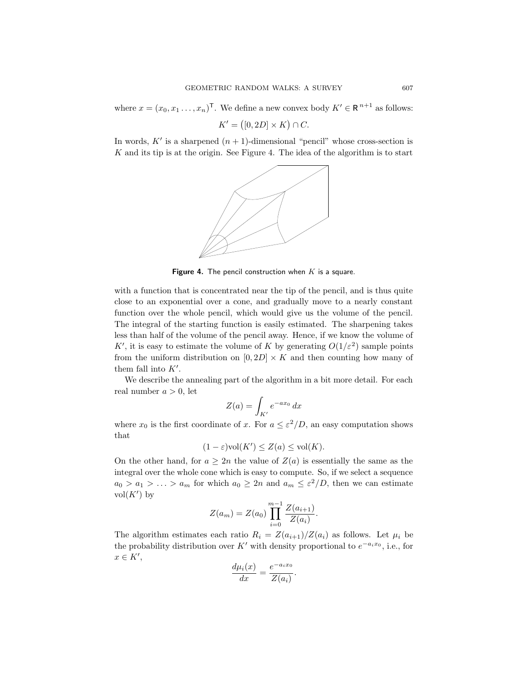where  $x = (x_0, x_1, \dots, x_n)^\mathsf{T}$ . We define a new convex body  $K' \in \mathbb{R}^{n+1}$  as follows:

 $K' = ([0, 2D] \times K) \cap C.$ 

In words,  $K'$  is a sharpened  $(n + 1)$ -dimensional "pencil" whose cross-section is  $K$  and its tip is at the origin. See Figure 4. The idea of the algorithm is to start



Figure 4. The pencil construction when  $K$  is a square.

with a function that is concentrated near the tip of the pencil, and is thus quite close to an exponential over a cone, and gradually move to a nearly constant function over the whole pencil, which would give us the volume of the pencil. The integral of the starting function is easily estimated. The sharpening takes less than half of the volume of the pencil away. Hence, if we know the volume of K', it is easy to estimate the volume of K by generating  $O(1/\varepsilon^2)$  sample points from the uniform distribution on  $[0, 2D] \times K$  and then counting how many of them fall into  $K'$ .

We describe the annealing part of the algorithm in a bit more detail. For each real number  $a > 0$ , let

$$
Z(a) = \int_{K'} e^{-ax_0} dx
$$

where  $x_0$  is the first coordinate of x. For  $a \leq \varepsilon^2/D$ , an easy computation shows that

 $(1 - \varepsilon) \text{vol}(K') \leq Z(a) \leq \text{vol}(K).$ 

On the other hand, for  $a \geq 2n$  the value of  $Z(a)$  is essentially the same as the integral over the whole cone which is easy to compute. So, if we select a sequence  $a_0 > a_1 > \ldots > a_m$  for which  $a_0 \geq 2n$  and  $a_m \leq \varepsilon^2/D$ , then we can estimate  $vol(K')$  by

$$
Z(a_m) = Z(a_0) \prod_{i=0}^{m-1} \frac{Z(a_{i+1})}{Z(a_i)}
$$

.

The algorithm estimates each ratio  $R_i = Z(a_{i+1})/Z(a_i)$  as follows. Let  $\mu_i$  be the probability distribution over K' with density proportional to  $e^{-a_ix_0}$ , i.e., for  $x \in K',$ 

$$
\frac{d\mu_i(x)}{dx} = \frac{e^{-a_i x_0}}{Z(a_i)}.
$$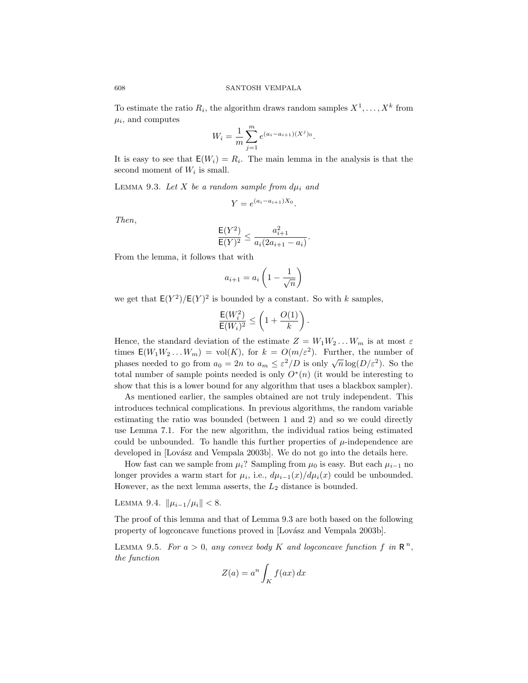To estimate the ratio  $R_i$ , the algorithm draws random samples  $X^1, \ldots, X^k$  from  $\mu_i$ , and computes

$$
W_i = \frac{1}{m} \sum_{j=1}^{m} e^{(a_i - a_{i+1})(X^j)_0}.
$$

It is easy to see that  $E(W_i) = R_i$ . The main lemma in the analysis is that the second moment of  $W_i$  is small.

LEMMA 9.3. Let X be a random sample from  $d\mu_i$  and

$$
Y = e^{(a_i - a_{i+1})X_0}.
$$

Then,

$$
\frac{\mathsf{E}(Y^2)}{\mathsf{E}(Y)^2} \le \frac{a_{i+1}^2}{a_i(2a_{i+1} - a_i)}.
$$

From the lemma, it follows that with

$$
a_{i+1} = a_i \left( 1 - \frac{1}{\sqrt{n}} \right)
$$

we get that  $E(Y^2)/E(Y)^2$  is bounded by a constant. So with k samples,

$$
\frac{\mathsf{E}(W_i^2)}{\mathsf{E}(W_i)^2} \leq \left(1 + \frac{O(1)}{k}\right).
$$

Hence, the standard deviation of the estimate  $Z = W_1 W_2 \dots W_m$  is at most  $\varepsilon$ times  $E(W_1 W_2 ... W_m) = vol(K)$ , for  $k = O(m/\varepsilon^2)$ . Further, the number of phases needed to go from  $a_0 = 2n$  to  $a_m \leq \varepsilon^2/D$  is only  $\sqrt{n} \log(D/\varepsilon^2)$ . So the total number of sample points needed is only  $O^*(n)$  (it would be interesting to show that this is a lower bound for any algorithm that uses a blackbox sampler).

As mentioned earlier, the samples obtained are not truly independent. This introduces technical complications. In previous algorithms, the random variable estimating the ratio was bounded (between 1 and 2) and so we could directly use Lemma 7.1. For the new algorithm, the individual ratios being estimated could be unbounded. To handle this further properties of  $\mu$ -independence are developed in [Lovász and Vempala 2003b]. We do not go into the details here.

How fast can we sample from  $\mu_i$ ? Sampling from  $\mu_0$  is easy. But each  $\mu_{i-1}$  no longer provides a warm start for  $\mu_i$ , i.e.,  $d\mu_{i-1}(x)/d\mu_i(x)$  could be unbounded. However, as the next lemma asserts, the  $L_2$  distance is bounded.

LEMMA 9.4.  $\|\mu_{i-1}/\mu_i\| < 8$ .

The proof of this lemma and that of Lemma 9.3 are both based on the following property of logconcave functions proved in [Lovász and Vempala 2003b].

LEMMA 9.5. For  $a > 0$ , any convex body K and logconcave function f in  $\mathbb{R}^n$ , the function

$$
Z(a) = a^n \int_K f(ax) \, dx
$$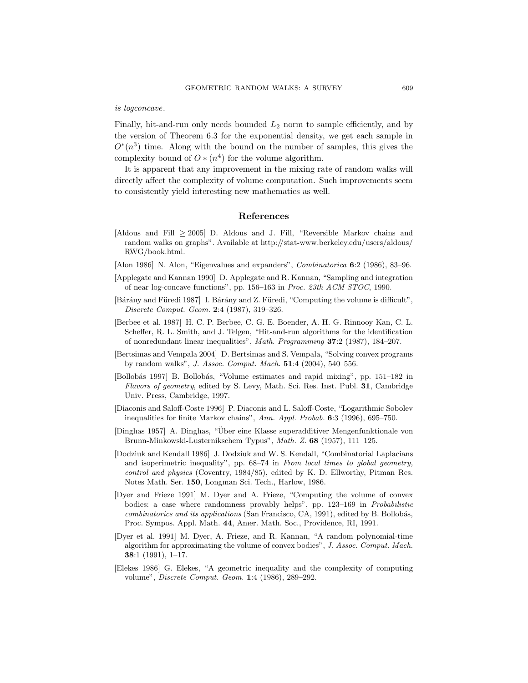is logconcave.

Finally, hit-and-run only needs bounded  $L_2$  norm to sample efficiently, and by the version of Theorem 6.3 for the exponential density, we get each sample in  $O<sup>*</sup>(n<sup>3</sup>)$  time. Along with the bound on the number of samples, this gives the complexity bound of  $O \ast (n^4)$  for the volume algorithm.

It is apparent that any improvement in the mixing rate of random walks will directly affect the complexity of volume computation. Such improvements seem to consistently yield interesting new mathematics as well.

### References

- [Aldous and Fill  $\geq 2005$ ] D. Aldous and J. Fill, "Reversible Markov chains and random walks on graphs". Available at http://stat-www.berkeley.edu/users/aldous/ RWG/book.html.
- [Alon 1986] N. Alon, "Eigenvalues and expanders", *Combinatorica* 6:2 (1986), 83-96.
- [Applegate and Kannan 1990] D. Applegate and R. Kannan, "Sampling and integration of near log-concave functions", pp. 156–163 in Proc. 23th ACM STOC, 1990.
- [Bárány and Füredi 1987] I. Bárány and Z. Füredi, "Computing the volume is difficult", Discrete Comput. Geom. 2:4 (1987), 319–326.
- [Berbee et al. 1987] H. C. P. Berbee, C. G. E. Boender, A. H. G. Rinnooy Kan, C. L. Scheffer, R. L. Smith, and J. Telgen, "Hit-and-run algorithms for the identification of nonredundant linear inequalities", Math. Programming 37:2 (1987), 184–207.
- [Bertsimas and Vempala 2004] D. Bertsimas and S. Vempala, "Solving convex programs by random walks", J. Assoc. Comput. Mach. 51:4 (2004), 540–556.
- [Bollobás 1997] B. Bollobás, "Volume estimates and rapid mixing", pp. 151-182 in Flavors of geometry, edited by S. Levy, Math. Sci. Res. Inst. Publ. 31, Cambridge Univ. Press, Cambridge, 1997.
- [Diaconis and Saloff-Coste 1996] P. Diaconis and L. Saloff-Coste, "Logarithmic Sobolev inequalities for finite Markov chains", Ann. Appl. Probab. 6:3 (1996), 695–750.
- [Dinghas 1957] A. Dinghas, "Über eine Klasse superadditiver Mengenfunktionale von Brunn-Minkowski-Lusternikschem Typus", Math. Z. 68 (1957), 111-125.
- [Dodziuk and Kendall 1986] J. Dodziuk and W. S. Kendall, "Combinatorial Laplacians and isoperimetric inequality", pp. 68–74 in From local times to global geometry, control and physics (Coventry, 1984/85), edited by K. D. Ellworthy, Pitman Res. Notes Math. Ser. 150, Longman Sci. Tech., Harlow, 1986.
- [Dyer and Frieze 1991] M. Dyer and A. Frieze, "Computing the volume of convex bodies: a case where randomness provably helps", pp. 123–169 in Probabilistic combinatorics and its applications (San Francisco, CA, 1991), edited by B. Bollobás, Proc. Sympos. Appl. Math. 44, Amer. Math. Soc., Providence, RI, 1991.
- [Dyer et al. 1991] M. Dyer, A. Frieze, and R. Kannan, "A random polynomial-time algorithm for approximating the volume of convex bodies", J. Assoc. Comput. Mach. 38:1 (1991), 1–17.
- [Elekes 1986] G. Elekes, "A geometric inequality and the complexity of computing volume", Discrete Comput. Geom. 1:4 (1986), 289–292.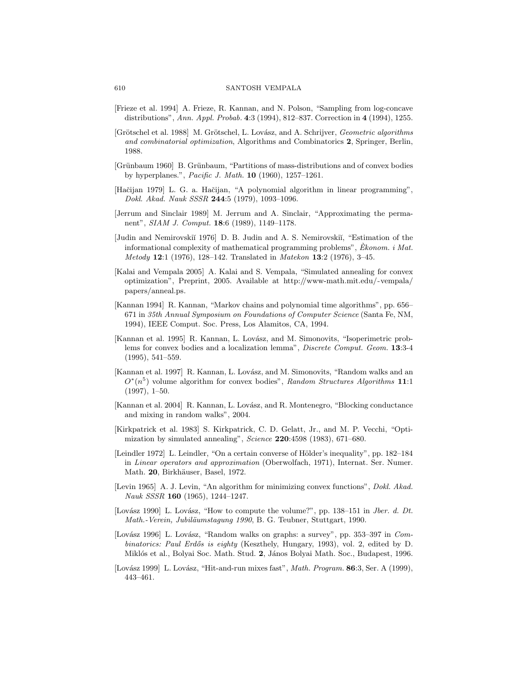- [Frieze et al. 1994] A. Frieze, R. Kannan, and N. Polson, "Sampling from log-concave distributions", Ann. Appl. Probab. 4:3 (1994), 812–837. Correction in 4 (1994), 1255.
- [Grötschel et al. 1988] M. Grötschel, L. Lovász, and A. Schrijver, *Geometric algorithms* and combinatorial optimization, Algorithms and Combinatorics 2, Springer, Berlin, 1988.
- [Grünbaum 1960] B. Grünbaum, "Partitions of mass-distributions and of convex bodies by hyperplanes.", Pacific J. Math. 10 (1960), 1257–1261.
- [Hačijan 1979] L. G. a. Hačijan, "A polynomial algorithm in linear programming", Dokl. Akad. Nauk SSSR 244:5 (1979), 1093–1096.
- [Jerrum and Sinclair 1989] M. Jerrum and A. Sinclair, "Approximating the permanent", SIAM J. Comput. 18:6 (1989), 1149–1178.
- [Judin and Nemirovskiĭ 1976] D. B. Judin and A. S. Nemirovskiĭ, "Estimation of the informational complexity of mathematical programming problems",  $Ekonom. i Mat.$ Metody 12:1 (1976), 128–142. Translated in Matekon 13:2 (1976), 3–45.
- [Kalai and Vempala 2005] A. Kalai and S. Vempala, "Simulated annealing for convex optimization", Preprint, 2005. Available at http://www-math.mit.edu/~vempala/ papers/anneal.ps.
- [Kannan 1994] R. Kannan, "Markov chains and polynomial time algorithms", pp. 656– 671 in 35th Annual Symposium on Foundations of Computer Science (Santa Fe, NM, 1994), IEEE Comput. Soc. Press, Los Alamitos, CA, 1994.
- [Kannan et al. 1995] R. Kannan, L. Lovász, and M. Simonovits, "Isoperimetric problems for convex bodies and a localization lemma", Discrete Comput. Geom. 13:3-4 (1995), 541–559.
- [Kannan et al. 1997] R. Kannan, L. Lovász, and M. Simonovits, "Random walks and an  $O^*(n^5)$  volume algorithm for convex bodies", Random Structures Algorithms 11:1 (1997), 1–50.
- [Kannan et al. 2004] R. Kannan, L. Lovász, and R. Montenegro, "Blocking conductance and mixing in random walks", 2004.
- [Kirkpatrick et al. 1983] S. Kirkpatrick, C. D. Gelatt, Jr., and M. P. Vecchi, "Optimization by simulated annealing", Science 220:4598 (1983), 671–680.
- [Leindler 1972] L. Leindler, "On a certain converse of Hölder's inequality", pp. 182-184 in Linear operators and approximation (Oberwolfach, 1971), Internat. Ser. Numer. Math. 20, Birkhäuser, Basel, 1972.
- [Levin 1965] A. J. Levin, "An algorithm for minimizing convex functions", Dokl. Akad. Nauk SSSR 160 (1965), 1244–1247.
- [Lovász 1990] L. Lovász, "How to compute the volume?", pp. 138–151 in *Jber. d. Dt.* Math.-Verein, Jubiläumstagung 1990, B. G. Teubner, Stuttgart, 1990.
- [Lovász 1996] L. Lovász, "Random walks on graphs: a survey", pp. 353-397 in Combinatorics: Paul Erdős is eighty (Keszthely, Hungary, 1993), vol. 2, edited by D. Miklós et al., Bolyai Soc. Math. Stud. 2, János Bolyai Math. Soc., Budapest, 1996.
- [Lovász 1999] L. Lovász, "Hit-and-run mixes fast", Math. Program. 86:3, Ser. A (1999), 443–461.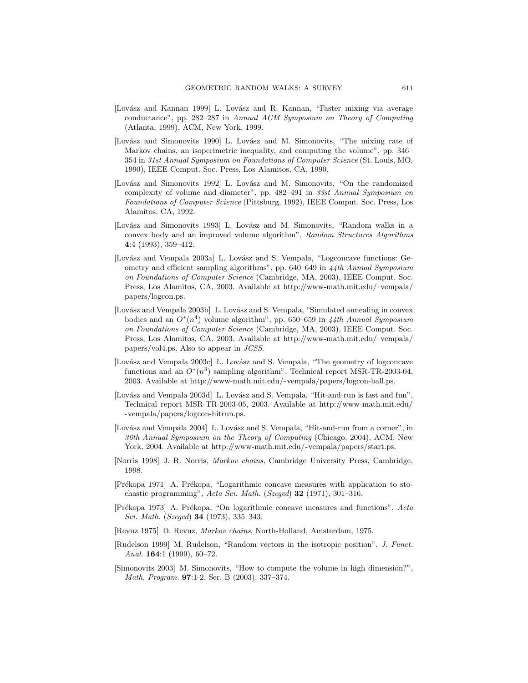- [Lovász and Kannan 1999] L. Lovász and R. Kannan, "Faster mixing via average conductance", pp. 282–287 in Annual ACM Symposium on Theory of Computing (Atlanta, 1999), ACM, New York, 1999.
- [Lovász and Simonovits 1990] L. Lovász and M. Simonovits, "The mixing rate of Markov chains, an isoperimetric inequality, and computing the volume", pp. 346– 354 in 31st Annual Symposium on Foundations of Computer Science (St. Louis, MO, 1990), IEEE Comput. Soc. Press, Los Alamitos, CA, 1990.
- [Lovász and Simonovits 1992] L. Lovász and M. Simonovits, "On the randomized complexity of volume and diameter", pp. 482-491 in 33st Annual Symposium on Foundations of Computer Science (Pittsburg, 1992), IEEE Comput. Soc. Press, Los Alamitos, CA, 1992.
- [Lovász and Simonovits 1993] L. Lovász and M. Simonovits, "Random walks in a convex body and an improved volume algorithm", Random Structures Algorithms 4:4 (1993), 359–412.
- [Lovász and Vempala 2003a] L. Lovász and S. Vempala, "Logconcave functions: Geometry and efficient sampling algorithms", pp. 640–649 in 44th Annual Symposium on Foundations of Computer Science (Cambridge, MA, 2003), IEEE Comput. Soc. Press, Los Alamitos, CA, 2003. Available at http://www-math.mit.edu/~vempala/ papers/logcon.ps.
- [Lovász and Vempala 2003b] L. Lovász and S. Vempala, "Simulated annealing in convex bodies and an  $O^*(n^4)$  volume algorithm", pp. 650–659 in 44th Annual Symposium on Foundations of Computer Science (Cambridge, MA, 2003), IEEE Comput. Soc. Press, Los Alamitos, CA, 2003. Available at http://www-math.mit.edu/~vempala/ papers/vol4.ps. Also to appear in JCSS.
- [Lovász and Vempala 2003c] L. Lovász and S. Vempala, "The geometry of logconcave functions and an  $O^*(n^3)$  sampling algorithm", Technical report MSR-TR-2003-04, 2003. Available at http://www-math.mit.edu/~vempala/papers/logcon-ball.ps.
- [Lovász and Vempala 2003d] L. Lovász and S. Vempala, "Hit-and-run is fast and fun" Technical report MSR-TR-2003-05, 2003. Available at http://www-math.mit.edu/ ˜ vempala/papers/logcon-hitrun.ps.
- [Lovász and Vempala 2004] L. Lovász and S. Vempala, "Hit-and-run from a corner", in 36th Annual Symposium on the Theory of Computing (Chicago, 2004), ACM, New York, 2004. Available at http://www-math.mit.edu/~vempala/papers/start.ps.
- [Norris 1998] J. R. Norris, Markov chains, Cambridge University Press, Cambridge, 1998.
- [Prékopa 1971] A. Prékopa, "Logarithmic concave measures with application to stochastic programming", Acta Sci. Math. (Szeged) 32 (1971), 301–316.
- [Prékopa 1973] A. Prékopa, "On logarithmic concave measures and functions", Acta Sci. Math. (Szeged) 34 (1973), 335–343.
- [Revuz 1975] D. Revuz, Markov chains, North-Holland, Amsterdam, 1975.
- [Rudelson 1999] M. Rudelson, "Random vectors in the isotropic position", J. Funct. Anal. **164**:1 (1999), 60-72.
- [Simonovits 2003] M. Simonovits, "How to compute the volume in high dimension?", Math. Program. 97:1-2, Ser. B (2003), 337–374.